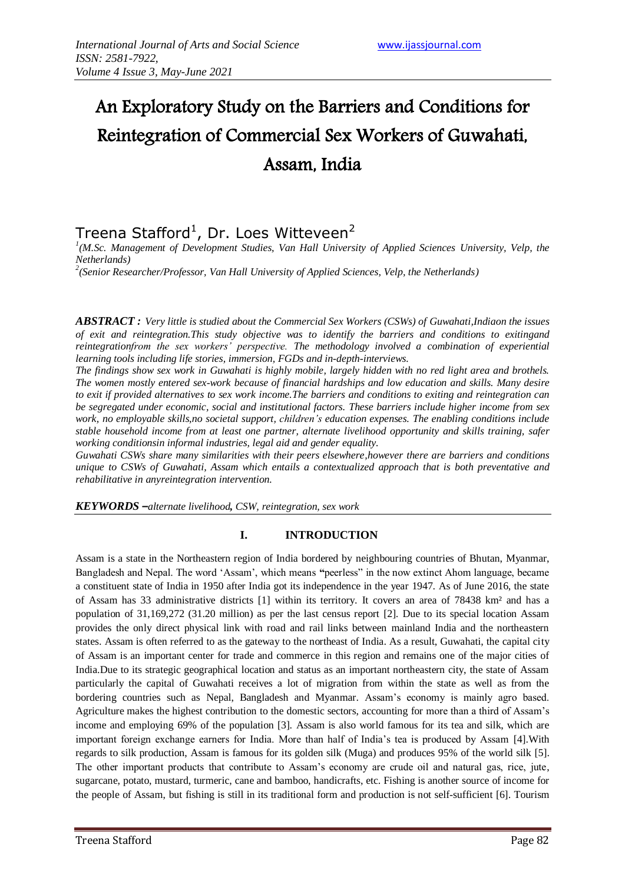# An Exploratory Study on the Barriers and Conditions for Reintegration of Commercial Sex Workers of Guwahati, Assam, India

## Treena Stafford<sup>1</sup>, Dr. Loes Witteveen<sup>2</sup>

<sup>1</sup>(M.Sc. Management of Development Studies, Van Hall University of Applied Sciences University, Velp, the *Netherlands)* 

*2 (Senior Researcher/Professor, Van Hall University of Applied Sciences, Velp, the Netherlands)* 

*ABSTRACT : Very little is studied about the Commercial Sex Workers (CSWs) of Guwahati,Indiaon the issues of exit and reintegration.This study objective was to identify the barriers and conditions to exitingand reintegrationfrom the sex workers' perspective. The methodology involved a combination of experiential learning tools including life stories, immersion, FGDs and in-depth-interviews.* 

*The findings show sex work in Guwahati is highly mobile, largely hidden with no red light area and brothels. The women mostly entered sex-work because of financial hardships and low education and skills. Many desire to exit if provided alternatives to sex work income.The barriers and conditions to exiting and reintegration can be segregated under economic, social and institutional factors. These barriers include higher income from sex work, no employable skills,no societal support, children's education expenses. The enabling conditions include stable household income from at least one partner, alternate livelihood opportunity and skills training, safer working conditionsin informal industries, legal aid and gender equality.*

*Guwahati CSWs share many similarities with their peers elsewhere,however there are barriers and conditions unique to CSWs of Guwahati, Assam which entails a contextualized approach that is both preventative and rehabilitative in anyreintegration intervention.* 

*KEYWORDS –alternate livelihood, CSW, reintegration, sex work*

### **I. INTRODUCTION**

Assam is a state in the Northeastern region of India bordered by neighbouring countries of Bhutan, Myanmar, Bangladesh and Nepal. The word "Assam", which means **"**peerless" in the now extinct Ahom language, became a constituent state of India in 1950 after India got its independence in the year 1947. As of June 2016, the state of Assam has 33 administrative districts [1] within its territory. It covers an area of 78438 km² and has a population of 31,169,272 (31.20 million) as per the last census report [2]. Due to its special location Assam provides the only direct physical link with road and rail links between mainland India and the northeastern states. Assam is often referred to as the gateway to the northeast of India. As a result, Guwahati, the capital city of Assam is an important center for trade and commerce in this region and remains one of the major cities of India.Due to its strategic geographical location and status as an important northeastern city, the state of Assam particularly the capital of Guwahati receives a lot of migration from within the state as well as from the bordering countries such as Nepal, Bangladesh and Myanmar. Assam"s economy is mainly agro based. Agriculture makes the highest contribution to the domestic sectors, accounting for more than a third of Assam"s income and employing 69% of the population [3]. Assam is also world famous for its tea and silk, which are important foreign exchange earners for India. More than half of India"s tea is produced by Assam [4].With regards to silk production, Assam is famous for its golden silk (Muga) and produces 95% of the world silk [5]. The other important products that contribute to Assam"s economy are crude oil and natural gas, rice, jute, sugarcane, potato, mustard, turmeric, cane and bamboo, handicrafts, etc. Fishing is another source of income for the people of Assam, but fishing is still in its traditional form and production is not self-sufficient [6]. Tourism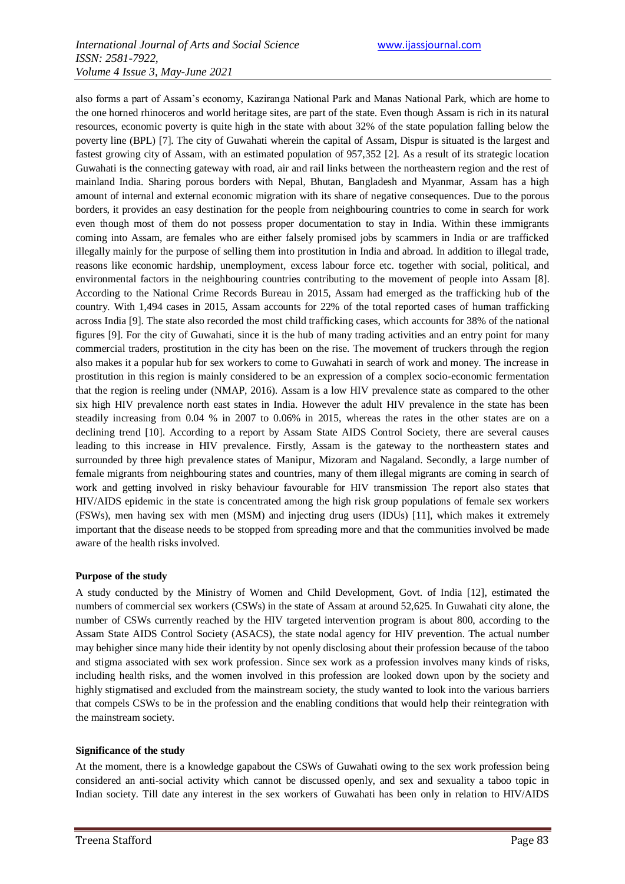also forms a part of Assam"s economy, Kaziranga National Park and Manas National Park, which are home to the one horned rhinoceros and world heritage sites, are part of the state. Even though Assam is rich in its natural resources, economic poverty is quite high in the state with about 32% of the state population falling below the poverty line (BPL) [7]. The city of Guwahati wherein the capital of Assam, Dispur is situated is the largest and fastest growing city of Assam, with an estimated population of 957,352 [2]. As a result of its strategic location Guwahati is the connecting gateway with road, air and rail links between the northeastern region and the rest of mainland India. Sharing porous borders with Nepal, Bhutan, Bangladesh and Myanmar, Assam has a high amount of internal and external economic migration with its share of negative consequences. Due to the porous borders, it provides an easy destination for the people from neighbouring countries to come in search for work even though most of them do not possess proper documentation to stay in India. Within these immigrants coming into Assam, are females who are either falsely promised jobs by scammers in India or are trafficked illegally mainly for the purpose of selling them into prostitution in India and abroad. In addition to illegal trade, reasons like economic hardship, unemployment, excess labour force etc. together with social, political, and environmental factors in the neighbouring countries contributing to the movement of people into Assam [8]. According to the National Crime Records Bureau in 2015, Assam had emerged as the trafficking hub of the country. With 1,494 cases in 2015, Assam accounts for 22% of the total reported cases of human trafficking across India [9]. The state also recorded the most child trafficking cases, which accounts for 38% of the national figures [9]. For the city of Guwahati, since it is the hub of many trading activities and an entry point for many commercial traders, prostitution in the city has been on the rise. The movement of truckers through the region also makes it a popular hub for sex workers to come to Guwahati in search of work and money. The increase in prostitution in this region is mainly considered to be an expression of a complex socio-economic fermentation that the region is reeling under (NMAP, 2016). Assam is a low HIV prevalence state as compared to the other six high HIV prevalence north east states in India. However the adult HIV prevalence in the state has been steadily increasing from 0.04 % in 2007 to 0.06% in 2015, whereas the rates in the other states are on a declining trend [10]. According to a report by Assam State AIDS Control Society, there are several causes leading to this increase in HIV prevalence. Firstly, Assam is the gateway to the northeastern states and surrounded by three high prevalence states of Manipur, Mizoram and Nagaland. Secondly, a large number of female migrants from neighbouring states and countries, many of them illegal migrants are coming in search of work and getting involved in risky behaviour favourable for HIV transmission The report also states that HIV/AIDS epidemic in the state is concentrated among the high risk group populations of female sex workers (FSWs), men having sex with men (MSM) and injecting drug users (IDUs) [11], which makes it extremely important that the disease needs to be stopped from spreading more and that the communities involved be made aware of the health risks involved.

#### **Purpose of the study**

A study conducted by the Ministry of Women and Child Development, Govt. of India [12], estimated the numbers of commercial sex workers (CSWs) in the state of Assam at around 52,625. In Guwahati city alone, the number of CSWs currently reached by the HIV targeted intervention program is about 800, according to the Assam State AIDS Control Society (ASACS), the state nodal agency for HIV prevention. The actual number may behigher since many hide their identity by not openly disclosing about their profession because of the taboo and stigma associated with sex work profession. Since sex work as a profession involves many kinds of risks, including health risks, and the women involved in this profession are looked down upon by the society and highly stigmatised and excluded from the mainstream society, the study wanted to look into the various barriers that compels CSWs to be in the profession and the enabling conditions that would help their reintegration with the mainstream society.

#### **Significance of the study**

At the moment, there is a knowledge gapabout the CSWs of Guwahati owing to the sex work profession being considered an anti-social activity which cannot be discussed openly, and sex and sexuality a taboo topic in Indian society. Till date any interest in the sex workers of Guwahati has been only in relation to HIV/AIDS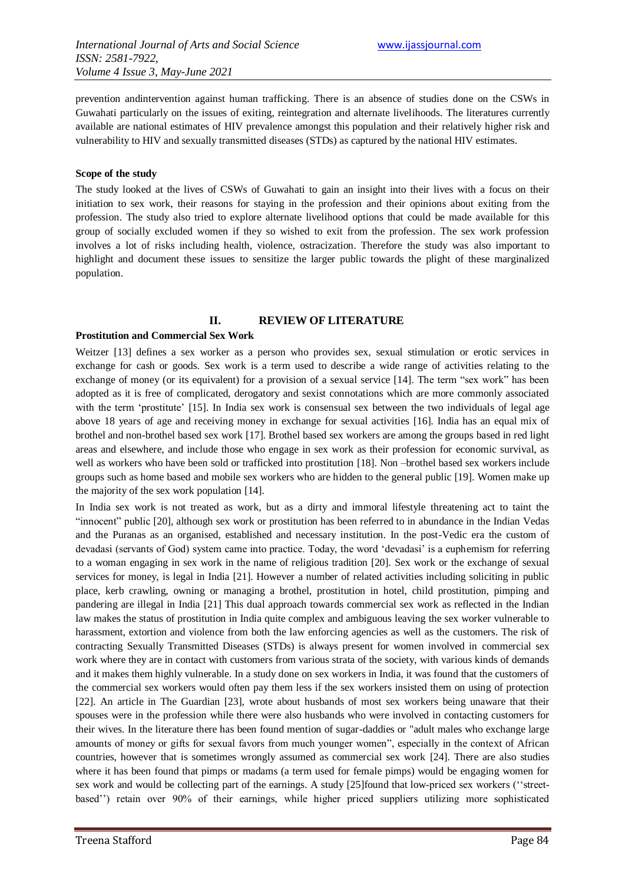prevention andintervention against human trafficking. There is an absence of studies done on the CSWs in Guwahati particularly on the issues of exiting, reintegration and alternate livelihoods. The literatures currently available are national estimates of HIV prevalence amongst this population and their relatively higher risk and vulnerability to HIV and sexually transmitted diseases (STDs) as captured by the national HIV estimates.

#### **Scope of the study**

The study looked at the lives of CSWs of Guwahati to gain an insight into their lives with a focus on their initiation to sex work, their reasons for staying in the profession and their opinions about exiting from the profession. The study also tried to explore alternate livelihood options that could be made available for this group of socially excluded women if they so wished to exit from the profession. The sex work profession involves a lot of risks including health, violence, ostracization. Therefore the study was also important to highlight and document these issues to sensitize the larger public towards the plight of these marginalized population.

### **II. REVIEW OF LITERATURE**

#### **Prostitution and Commercial Sex Work**

Weitzer [13] defines a sex worker as a person who provides sex, sexual stimulation or erotic services in exchange for cash or goods. Sex work is a term used to describe a wide range of activities relating to the exchange of money (or its equivalent) for a provision of a sexual service [14]. The term "sex work" has been adopted as it is free of complicated, derogatory and sexist connotations which are more commonly associated with the term 'prostitute' [15]. In India sex work is consensual sex between the two individuals of legal age above 18 years of age and receiving money in exchange for sexual activities [16]. India has an equal mix of brothel and non-brothel based sex work [17]. Brothel based sex workers are among the groups based in red light areas and elsewhere, and include those who engage in sex work as their profession for economic survival, as well as workers who have been sold or trafficked into prostitution [18]. Non –brothel based sex workers include groups such as home based and mobile sex workers who are hidden to the general public [19]. Women make up the majority of the sex work population [14].

In India sex work is not treated as work, but as a dirty and immoral lifestyle threatening act to taint the "innocent" public [20], although sex work or prostitution has been referred to in abundance in the Indian Vedas and the Puranas as an organised, established and necessary institution. In the post-Vedic era the custom of devadasi (servants of God) system came into practice. Today, the word "devadasi" is a euphemism for referring to a woman engaging in sex work in the name of religious tradition [20]. Sex work or the exchange of sexual services for money, is legal in India [21]. However a number of related activities including soliciting in public place, kerb crawling, owning or managing a brothel, prostitution in hotel, child prostitution, pimping and pandering are illegal in India [21] This dual approach towards commercial sex work as reflected in the Indian law makes the status of prostitution in India quite complex and ambiguous leaving the sex worker vulnerable to harassment, extortion and violence from both the law enforcing agencies as well as the customers. The risk of contracting Sexually Transmitted Diseases (STDs) is always present for women involved in commercial sex work where they are in contact with customers from various strata of the society, with various kinds of demands and it makes them highly vulnerable. In a study done on sex workers in India, it was found that the customers of the commercial sex workers would often pay them less if the sex workers insisted them on using of protection [22]. An article in The Guardian [23], wrote about husbands of most sex workers being unaware that their spouses were in the profession while there were also husbands who were involved in contacting customers for their wives. In the literature there has been found mention of sugar-daddies or "adult males who exchange large amounts of money or gifts for sexual favors from much younger women", especially in the context of African countries, however that is sometimes wrongly assumed as commercial sex work [24]. There are also studies where it has been found that pimps or madams (a term used for female pimps) would be engaging women for sex work and would be collecting part of the earnings. A study [25]found that low-priced sex workers ("streetbased"") retain over 90% of their earnings, while higher priced suppliers utilizing more sophisticated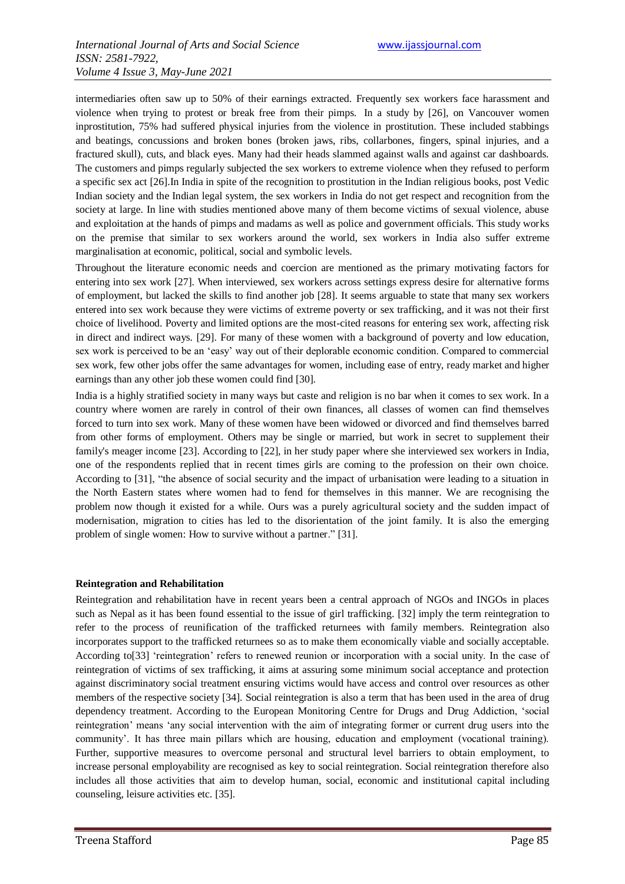intermediaries often saw up to 50% of their earnings extracted. Frequently sex workers face harassment and violence when trying to protest or break free from their pimps. In a study by [26], on Vancouver women inprostitution, 75% had suffered physical injuries from the violence in prostitution. These included stabbings and beatings, concussions and broken bones (broken jaws, ribs, collarbones, fingers, spinal injuries, and a fractured skull), cuts, and black eyes. Many had their heads slammed against walls and against car dashboards. The customers and pimps regularly subjected the sex workers to extreme violence when they refused to perform a specific sex act [26].In India in spite of the recognition to prostitution in the Indian religious books, post Vedic Indian society and the Indian legal system, the sex workers in India do not get respect and recognition from the society at large. In line with studies mentioned above many of them become victims of sexual violence, abuse and exploitation at the hands of pimps and madams as well as police and government officials. This study works on the premise that similar to sex workers around the world, sex workers in India also suffer extreme marginalisation at economic, political, social and symbolic levels.

Throughout the literature economic needs and coercion are mentioned as the primary motivating factors for entering into sex work [27]. When interviewed, sex workers across settings express desire for alternative forms of employment, but lacked the skills to find another job [28]. It seems arguable to state that many sex workers entered into sex work because they were victims of extreme poverty or sex trafficking, and it was not their first choice of livelihood. Poverty and limited options are the most-cited reasons for entering sex work, affecting risk in direct and indirect ways. [29]. For many of these women with a background of poverty and low education, sex work is perceived to be an "easy" way out of their deplorable economic condition. Compared to commercial sex work, few other jobs offer the same advantages for women, including ease of entry, ready market and higher earnings than any other job these women could find [30].

India is a highly stratified society in many ways but caste and religion is no bar when it comes to sex work. In a country where women are rarely in control of their own finances, all classes of women can find themselves forced to turn into sex work. Many of these women have been widowed or divorced and find themselves barred from other forms of employment. Others may be single or married, but work in secret to supplement their family's meager income [23]. According to [22], in her study paper where she interviewed sex workers in India, one of the respondents replied that in recent times girls are coming to the profession on their own choice. According to [31], "the absence of social security and the impact of urbanisation were leading to a situation in the North Eastern states where women had to fend for themselves in this manner. We are recognising the problem now though it existed for a while. Ours was a purely agricultural society and the sudden impact of modernisation, migration to cities has led to the disorientation of the joint family. It is also the emerging problem of single women: How to survive without a partner." [31].

#### **Reintegration and Rehabilitation**

Reintegration and rehabilitation have in recent years been a central approach of NGOs and INGOs in places such as Nepal as it has been found essential to the issue of girl trafficking. [32] imply the term reintegration to refer to the process of reunification of the trafficked returnees with family members. Reintegration also incorporates support to the trafficked returnees so as to make them economically viable and socially acceptable. According to[33] 'reintegration' refers to renewed reunion or incorporation with a social unity. In the case of reintegration of victims of sex trafficking, it aims at assuring some minimum social acceptance and protection against discriminatory social treatment ensuring victims would have access and control over resources as other members of the respective society [34]. Social reintegration is also a term that has been used in the area of drug dependency treatment. According to the European Monitoring Centre for Drugs and Drug Addiction, "social reintegration" means "any social intervention with the aim of integrating former or current drug users into the community". It has three main pillars which are housing, education and employment (vocational training). Further, supportive measures to overcome personal and structural level barriers to obtain employment, to increase personal employability are recognised as key to social reintegration. Social reintegration therefore also includes all those activities that aim to develop human, social, economic and institutional capital including counseling, leisure activities etc. [35].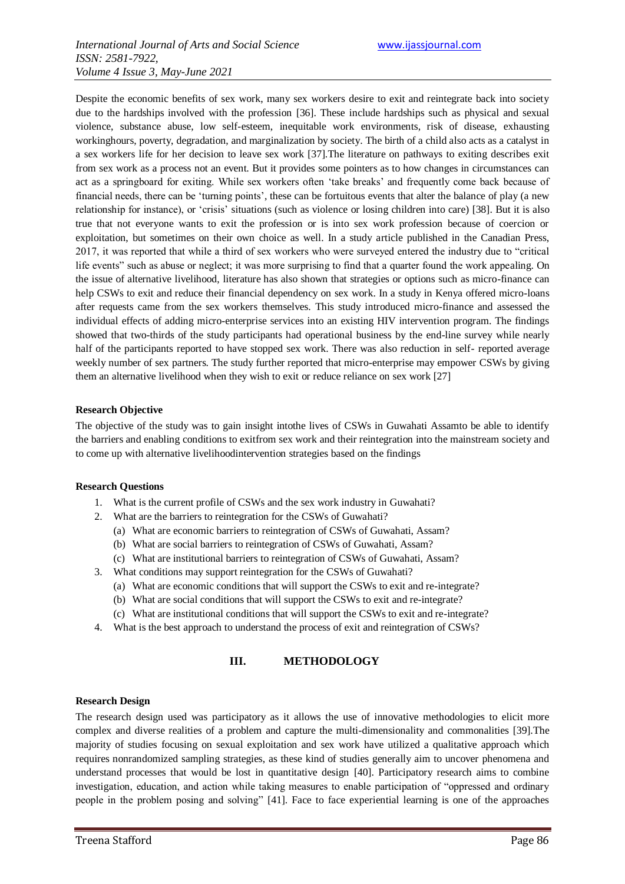Despite the economic benefits of sex work, many sex workers desire to exit and reintegrate back into society due to the hardships involved with the profession [36]. These include hardships such as physical and sexual violence, substance abuse, low self-esteem, inequitable work environments, risk of disease, exhausting workinghours, poverty, degradation, and marginalization by society. The birth of a child also acts as a catalyst in a sex workers life for her decision to leave sex work [37].The literature on pathways to exiting describes exit from sex work as a process not an event. But it provides some pointers as to how changes in circumstances can act as a springboard for exiting. While sex workers often "take breaks" and frequently come back because of financial needs, there can be "turning points", these can be fortuitous events that alter the balance of play (a new relationship for instance), or "crisis" situations (such as violence or losing children into care) [38]. But it is also true that not everyone wants to exit the profession or is into sex work profession because of coercion or exploitation, but sometimes on their own choice as well. In a study article published in the Canadian Press, 2017, it was reported that while a third of sex workers who were surveyed entered the industry due to "critical life events" such as abuse or neglect; it was more surprising to find that a quarter found the work appealing. On the issue of alternative livelihood, literature has also shown that strategies or options such as micro-finance can help CSWs to exit and reduce their financial dependency on sex work. In a study in Kenya offered micro-loans after requests came from the sex workers themselves. This study introduced micro-finance and assessed the individual effects of adding micro-enterprise services into an existing HIV intervention program. The findings showed that two-thirds of the study participants had operational business by the end-line survey while nearly half of the participants reported to have stopped sex work. There was also reduction in self- reported average weekly number of sex partners. The study further reported that micro-enterprise may empower CSWs by giving them an alternative livelihood when they wish to exit or reduce reliance on sex work [27]

#### **Research Objective**

The objective of the study was to gain insight intothe lives of CSWs in Guwahati Assamto be able to identify the barriers and enabling conditions to exitfrom sex work and their reintegration into the mainstream society and to come up with alternative livelihoodintervention strategies based on the findings

#### **Research Questions**

- 1. What is the current profile of CSWs and the sex work industry in Guwahati?
- 2. What are the barriers to reintegration for the CSWs of Guwahati?
	- (a) What are economic barriers to reintegration of CSWs of Guwahati, Assam?
	- (b) What are social barriers to reintegration of CSWs of Guwahati, Assam?
	- (c) What are institutional barriers to reintegration of CSWs of Guwahati, Assam?
- 3. What conditions may support reintegration for the CSWs of Guwahati?
	- (a) What are economic conditions that will support the CSWs to exit and re-integrate?
	- (b) What are social conditions that will support the CSWs to exit and re-integrate?
	- (c) What are institutional conditions that will support the CSWs to exit and re-integrate?
- 4. What is the best approach to understand the process of exit and reintegration of CSWs?

#### **III. METHODOLOGY**

#### **Research Design**

The research design used was participatory as it allows the use of innovative methodologies to elicit more complex and diverse realities of a problem and capture the multi-dimensionality and commonalities [39].The majority of studies focusing on sexual exploitation and sex work have utilized a qualitative approach which requires nonrandomized sampling strategies, as these kind of studies generally aim to uncover phenomena and understand processes that would be lost in quantitative design [40]. Participatory research aims to combine investigation, education, and action while taking measures to enable participation of "oppressed and ordinary people in the problem posing and solving" [41]. Face to face experiential learning is one of the approaches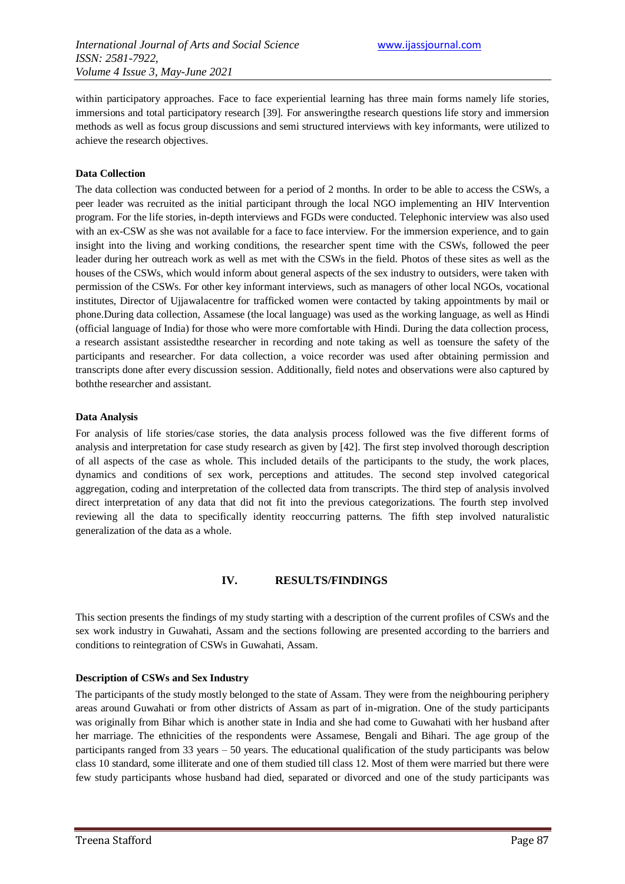within participatory approaches. Face to face experiential learning has three main forms namely life stories, immersions and total participatory research [39]. For answeringthe research questions life story and immersion methods as well as focus group discussions and semi structured interviews with key informants, were utilized to achieve the research objectives.

#### **Data Collection**

The data collection was conducted between for a period of 2 months. In order to be able to access the CSWs, a peer leader was recruited as the initial participant through the local NGO implementing an HIV Intervention program. For the life stories, in-depth interviews and FGDs were conducted. Telephonic interview was also used with an ex-CSW as she was not available for a face to face interview. For the immersion experience, and to gain insight into the living and working conditions, the researcher spent time with the CSWs, followed the peer leader during her outreach work as well as met with the CSWs in the field. Photos of these sites as well as the houses of the CSWs, which would inform about general aspects of the sex industry to outsiders, were taken with permission of the CSWs. For other key informant interviews, such as managers of other local NGOs, vocational institutes, Director of Ujjawalacentre for trafficked women were contacted by taking appointments by mail or phone.During data collection, Assamese (the local language) was used as the working language, as well as Hindi (official language of India) for those who were more comfortable with Hindi. During the data collection process, a research assistant assistedthe researcher in recording and note taking as well as toensure the safety of the participants and researcher. For data collection, a voice recorder was used after obtaining permission and transcripts done after every discussion session. Additionally, field notes and observations were also captured by boththe researcher and assistant.

#### **Data Analysis**

For analysis of life stories/case stories, the data analysis process followed was the five different forms of analysis and interpretation for case study research as given by [42]. The first step involved thorough description of all aspects of the case as whole. This included details of the participants to the study, the work places, dynamics and conditions of sex work, perceptions and attitudes. The second step involved categorical aggregation, coding and interpretation of the collected data from transcripts. The third step of analysis involved direct interpretation of any data that did not fit into the previous categorizations. The fourth step involved reviewing all the data to specifically identity reoccurring patterns. The fifth step involved naturalistic generalization of the data as a whole.

#### **IV. RESULTS/FINDINGS**

This section presents the findings of my study starting with a description of the current profiles of CSWs and the sex work industry in Guwahati, Assam and the sections following are presented according to the barriers and conditions to reintegration of CSWs in Guwahati, Assam.

#### **Description of CSWs and Sex Industry**

The participants of the study mostly belonged to the state of Assam. They were from the neighbouring periphery areas around Guwahati or from other districts of Assam as part of in-migration. One of the study participants was originally from Bihar which is another state in India and she had come to Guwahati with her husband after her marriage. The ethnicities of the respondents were Assamese, Bengali and Bihari. The age group of the participants ranged from 33 years – 50 years. The educational qualification of the study participants was below class 10 standard, some illiterate and one of them studied till class 12. Most of them were married but there were few study participants whose husband had died, separated or divorced and one of the study participants was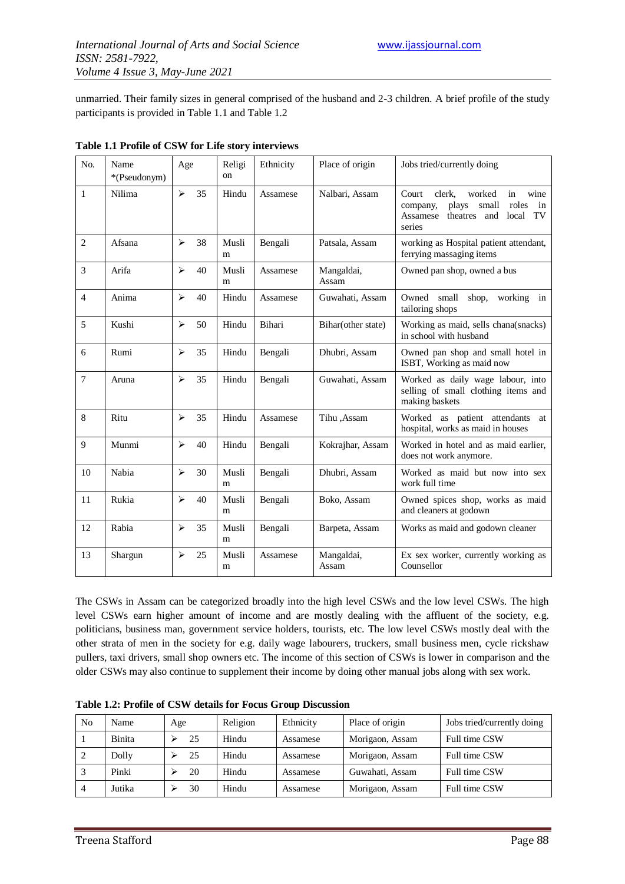unmarried. Their family sizes in general comprised of the husband and 2-3 children. A brief profile of the study participants is provided in Table 1.1 and Table 1.2

| N <sub>0</sub> | Name<br>*(Pseudonym) | Age                   |    | Religi<br>on | Ethnicity | Place of origin     | Jobs tried/currently doing                                                                                                                   |
|----------------|----------------------|-----------------------|----|--------------|-----------|---------------------|----------------------------------------------------------------------------------------------------------------------------------------------|
| $\mathbf{1}$   | Nilima               | $\blacktriangleright$ | 35 | Hindu        | Assamese  | Nalbari, Assam      | clerk,<br>worked<br>wine<br>Court<br>in<br>roles<br>plays<br>small<br>in<br>company,<br>theatres<br>TV<br>Assamese<br>and<br>local<br>series |
| $\overline{2}$ | Afsana               | $\blacktriangleright$ | 38 | Musli<br>m   | Bengali   | Patsala, Assam      | working as Hospital patient attendant,<br>ferrying massaging items                                                                           |
| 3              | Arifa                | $\blacktriangleright$ | 40 | Musli<br>m   | Assamese  | Mangaldai,<br>Assam | Owned pan shop, owned a bus                                                                                                                  |
| $\overline{4}$ | Anima                | $\blacktriangleright$ | 40 | Hindu        | Assamese  | Guwahati, Assam     | Owned small<br>shop,<br>working in<br>tailoring shops                                                                                        |
| 5              | Kushi                | $\blacktriangleright$ | 50 | Hindu        | Bihari    | Bihar(other state)  | Working as maid, sells chana(snacks)<br>in school with husband                                                                               |
| 6              | Rumi                 | $\blacktriangleright$ | 35 | Hindu        | Bengali   | Dhubri, Assam       | Owned pan shop and small hotel in<br>ISBT, Working as maid now                                                                               |
| $\tau$         | Aruna                | $\blacktriangleright$ | 35 | Hindu        | Bengali   | Guwahati, Assam     | Worked as daily wage labour, into<br>selling of small clothing items and<br>making baskets                                                   |
| 8              | Ritu                 | $\blacktriangleright$ | 35 | Hindu        | Assamese  | Tihu ,Assam         | Worked as patient attendants<br>at<br>hospital, works as maid in houses                                                                      |
| 9              | Munmi                | $\blacktriangleright$ | 40 | Hindu        | Bengali   | Kokrajhar, Assam    | Worked in hotel and as maid earlier,<br>does not work anymore.                                                                               |
| 10             | Nabia                | $\blacktriangleright$ | 30 | Musli<br>m   | Bengali   | Dhubri, Assam       | Worked as maid but now into sex<br>work full time                                                                                            |
| 11             | Rukia                | $\blacktriangleright$ | 40 | Musli<br>m   | Bengali   | Boko, Assam         | Owned spices shop, works as maid<br>and cleaners at godown                                                                                   |
| 12             | Rabia                | $\blacktriangleright$ | 35 | Musli<br>m   | Bengali   | Barpeta, Assam      | Works as maid and godown cleaner                                                                                                             |
| 13             | Shargun              | $\blacktriangleright$ | 25 | Musli<br>m   | Assamese  | Mangaldai,<br>Assam | Ex sex worker, currently working as<br>Counsellor                                                                                            |

The CSWs in Assam can be categorized broadly into the high level CSWs and the low level CSWs. The high level CSWs earn higher amount of income and are mostly dealing with the affluent of the society, e.g. politicians, business man, government service holders, tourists, etc. The low level CSWs mostly deal with the other strata of men in the society for e.g. daily wage labourers, truckers, small business men, cycle rickshaw pullers, taxi drivers, small shop owners etc. The income of this section of CSWs is lower in comparison and the older CSWs may also continue to supplement their income by doing other manual jobs along with sex work.

| No | Name   | Age | Religion | Ethnicity | Place of origin | Jobs tried/currently doing |
|----|--------|-----|----------|-----------|-----------------|----------------------------|
|    | Binita | 25  | Hindu    | Assamese  | Morigaon, Assam | Full time CSW              |
|    | Dolly  | 25  | Hindu    | Assamese  | Morigaon, Assam | Full time CSW              |
|    | Pinki  | 20  | Hindu    | Assamese  | Guwahati, Assam | Full time CSW              |
| 4  | Jutika | 30  | Hindu    | Assamese  | Morigaon, Assam | Full time CSW              |

**Table 1.2: Profile of CSW details for Focus Group Discussion**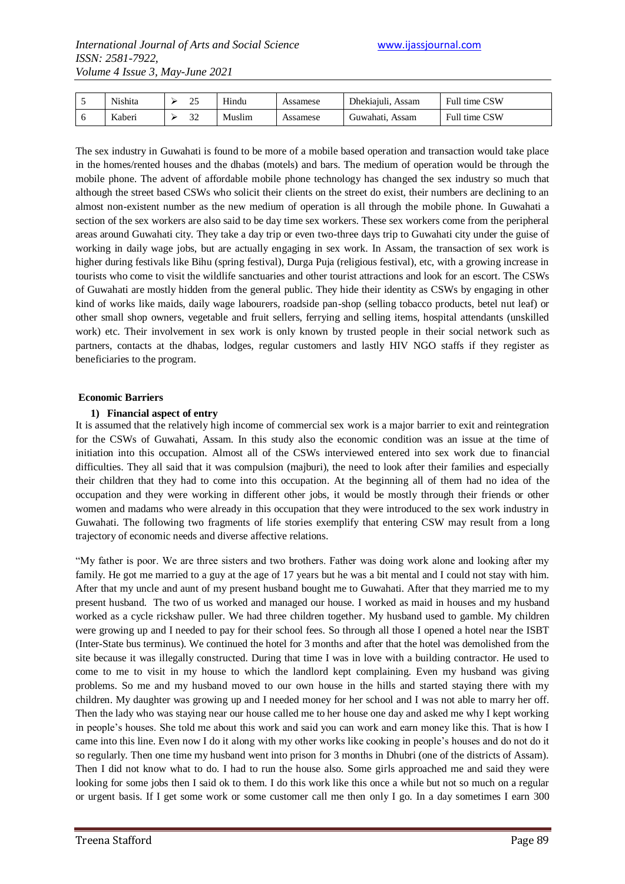| ◡ | Nishita | <u>ے۔</u> | Hindu  | Assamese | Dhekiajuli, Assam | Full time CSW |
|---|---------|-----------|--------|----------|-------------------|---------------|
|   | Kaberi  | ے ر       | Muslim | Assamese | Guwahati, Assam   | Full time CSW |

The sex industry in Guwahati is found to be more of a mobile based operation and transaction would take place in the homes/rented houses and the dhabas (motels) and bars. The medium of operation would be through the mobile phone. The advent of affordable mobile phone technology has changed the sex industry so much that although the street based CSWs who solicit their clients on the street do exist, their numbers are declining to an almost non-existent number as the new medium of operation is all through the mobile phone. In Guwahati a section of the sex workers are also said to be day time sex workers. These sex workers come from the peripheral areas around Guwahati city. They take a day trip or even two-three days trip to Guwahati city under the guise of working in daily wage jobs, but are actually engaging in sex work. In Assam, the transaction of sex work is higher during festivals like Bihu (spring festival), Durga Puja (religious festival), etc, with a growing increase in tourists who come to visit the wildlife sanctuaries and other tourist attractions and look for an escort. The CSWs of Guwahati are mostly hidden from the general public. They hide their identity as CSWs by engaging in other kind of works like maids, daily wage labourers, roadside pan-shop (selling tobacco products, betel nut leaf) or other small shop owners, vegetable and fruit sellers, ferrying and selling items, hospital attendants (unskilled work) etc. Their involvement in sex work is only known by trusted people in their social network such as partners, contacts at the dhabas, lodges, regular customers and lastly HIV NGO staffs if they register as beneficiaries to the program.

#### **Economic Barriers**

#### **1) Financial aspect of entry**

It is assumed that the relatively high income of commercial sex work is a major barrier to exit and reintegration for the CSWs of Guwahati, Assam. In this study also the economic condition was an issue at the time of initiation into this occupation. Almost all of the CSWs interviewed entered into sex work due to financial difficulties. They all said that it was compulsion (majburi), the need to look after their families and especially their children that they had to come into this occupation. At the beginning all of them had no idea of the occupation and they were working in different other jobs, it would be mostly through their friends or other women and madams who were already in this occupation that they were introduced to the sex work industry in Guwahati. The following two fragments of life stories exemplify that entering CSW may result from a long trajectory of economic needs and diverse affective relations.

"My father is poor. We are three sisters and two brothers. Father was doing work alone and looking after my family. He got me married to a guy at the age of 17 years but he was a bit mental and I could not stay with him. After that my uncle and aunt of my present husband bought me to Guwahati. After that they married me to my present husband. The two of us worked and managed our house. I worked as maid in houses and my husband worked as a cycle rickshaw puller. We had three children together. My husband used to gamble. My children were growing up and I needed to pay for their school fees. So through all those I opened a hotel near the ISBT (Inter-State bus terminus). We continued the hotel for 3 months and after that the hotel was demolished from the site because it was illegally constructed. During that time I was in love with a building contractor. He used to come to me to visit in my house to which the landlord kept complaining. Even my husband was giving problems. So me and my husband moved to our own house in the hills and started staying there with my children. My daughter was growing up and I needed money for her school and I was not able to marry her off. Then the lady who was staying near our house called me to her house one day and asked me why I kept working in people"s houses. She told me about this work and said you can work and earn money like this. That is how I came into this line. Even now I do it along with my other works like cooking in people"s houses and do not do it so regularly. Then one time my husband went into prison for 3 months in Dhubri (one of the districts of Assam). Then I did not know what to do. I had to run the house also. Some girls approached me and said they were looking for some jobs then I said ok to them. I do this work like this once a while but not so much on a regular or urgent basis. If I get some work or some customer call me then only I go. In a day sometimes I earn 300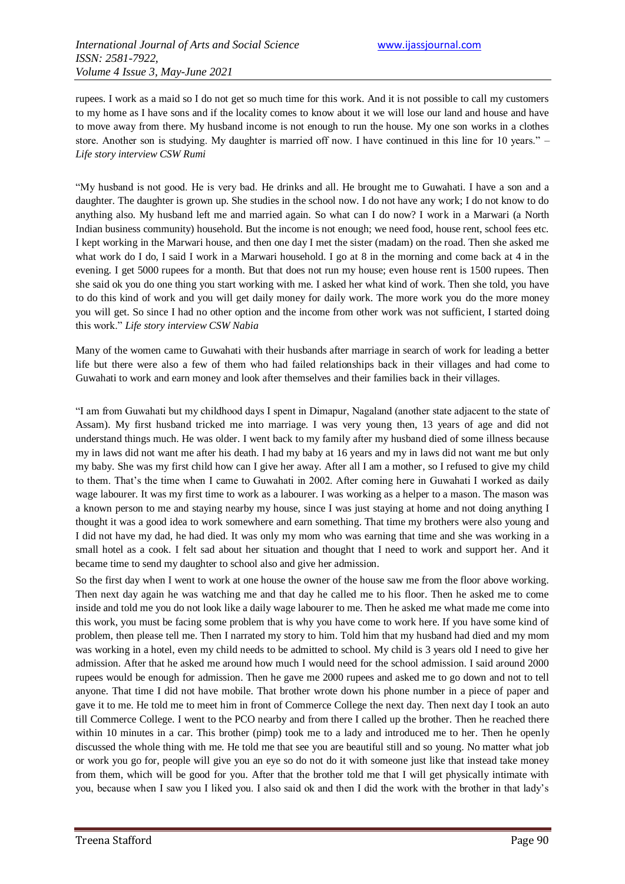rupees. I work as a maid so I do not get so much time for this work. And it is not possible to call my customers to my home as I have sons and if the locality comes to know about it we will lose our land and house and have to move away from there. My husband income is not enough to run the house. My one son works in a clothes store. Another son is studying. My daughter is married off now. I have continued in this line for 10 years." – *Life story interview CSW Rumi*

"My husband is not good. He is very bad. He drinks and all. He brought me to Guwahati. I have a son and a daughter. The daughter is grown up. She studies in the school now. I do not have any work; I do not know to do anything also. My husband left me and married again. So what can I do now? I work in a Marwari (a North Indian business community) household. But the income is not enough; we need food, house rent, school fees etc. I kept working in the Marwari house, and then one day I met the sister (madam) on the road. Then she asked me what work do I do, I said I work in a Marwari household. I go at 8 in the morning and come back at 4 in the evening. I get 5000 rupees for a month. But that does not run my house; even house rent is 1500 rupees. Then she said ok you do one thing you start working with me. I asked her what kind of work. Then she told, you have to do this kind of work and you will get daily money for daily work. The more work you do the more money you will get. So since I had no other option and the income from other work was not sufficient, I started doing this work." *Life story interview CSW Nabia*

Many of the women came to Guwahati with their husbands after marriage in search of work for leading a better life but there were also a few of them who had failed relationships back in their villages and had come to Guwahati to work and earn money and look after themselves and their families back in their villages.

"I am from Guwahati but my childhood days I spent in Dimapur, Nagaland (another state adjacent to the state of Assam). My first husband tricked me into marriage. I was very young then, 13 years of age and did not understand things much. He was older. I went back to my family after my husband died of some illness because my in laws did not want me after his death. I had my baby at 16 years and my in laws did not want me but only my baby. She was my first child how can I give her away. After all I am a mother, so I refused to give my child to them. That's the time when I came to Guwahati in 2002. After coming here in Guwahati I worked as daily wage labourer. It was my first time to work as a labourer. I was working as a helper to a mason. The mason was a known person to me and staying nearby my house, since I was just staying at home and not doing anything I thought it was a good idea to work somewhere and earn something. That time my brothers were also young and I did not have my dad, he had died. It was only my mom who was earning that time and she was working in a small hotel as a cook. I felt sad about her situation and thought that I need to work and support her. And it became time to send my daughter to school also and give her admission.

So the first day when I went to work at one house the owner of the house saw me from the floor above working. Then next day again he was watching me and that day he called me to his floor. Then he asked me to come inside and told me you do not look like a daily wage labourer to me. Then he asked me what made me come into this work, you must be facing some problem that is why you have come to work here. If you have some kind of problem, then please tell me. Then I narrated my story to him. Told him that my husband had died and my mom was working in a hotel, even my child needs to be admitted to school. My child is 3 years old I need to give her admission. After that he asked me around how much I would need for the school admission. I said around 2000 rupees would be enough for admission. Then he gave me 2000 rupees and asked me to go down and not to tell anyone. That time I did not have mobile. That brother wrote down his phone number in a piece of paper and gave it to me. He told me to meet him in front of Commerce College the next day. Then next day I took an auto till Commerce College. I went to the PCO nearby and from there I called up the brother. Then he reached there within 10 minutes in a car. This brother (pimp) took me to a lady and introduced me to her. Then he openly discussed the whole thing with me. He told me that see you are beautiful still and so young. No matter what job or work you go for, people will give you an eye so do not do it with someone just like that instead take money from them, which will be good for you. After that the brother told me that I will get physically intimate with you, because when I saw you I liked you. I also said ok and then I did the work with the brother in that lady"s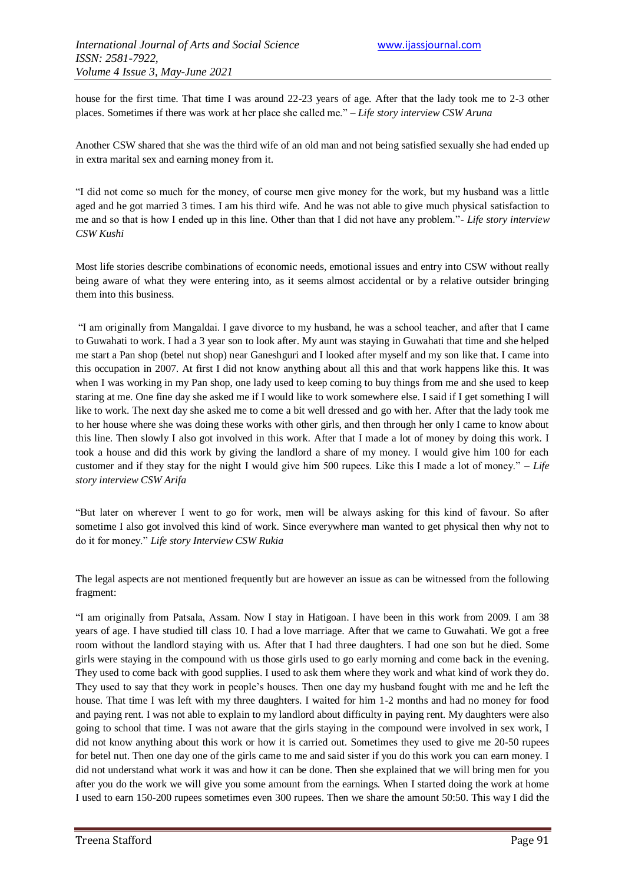house for the first time. That time I was around 22-23 years of age. After that the lady took me to 2-3 other places. Sometimes if there was work at her place she called me." – *Life story interview CSW Aruna*

Another CSW shared that she was the third wife of an old man and not being satisfied sexually she had ended up in extra marital sex and earning money from it.

"I did not come so much for the money, of course men give money for the work, but my husband was a little aged and he got married 3 times. I am his third wife. And he was not able to give much physical satisfaction to me and so that is how I ended up in this line. Other than that I did not have any problem."- *Life story interview CSW Kushi*

Most life stories describe combinations of economic needs, emotional issues and entry into CSW without really being aware of what they were entering into, as it seems almost accidental or by a relative outsider bringing them into this business.

"I am originally from Mangaldai. I gave divorce to my husband, he was a school teacher, and after that I came to Guwahati to work. I had a 3 year son to look after. My aunt was staying in Guwahati that time and she helped me start a Pan shop (betel nut shop) near Ganeshguri and I looked after myself and my son like that. I came into this occupation in 2007. At first I did not know anything about all this and that work happens like this. It was when I was working in my Pan shop, one lady used to keep coming to buy things from me and she used to keep staring at me. One fine day she asked me if I would like to work somewhere else. I said if I get something I will like to work. The next day she asked me to come a bit well dressed and go with her. After that the lady took me to her house where she was doing these works with other girls, and then through her only I came to know about this line. Then slowly I also got involved in this work. After that I made a lot of money by doing this work. I took a house and did this work by giving the landlord a share of my money. I would give him 100 for each customer and if they stay for the night I would give him 500 rupees. Like this I made a lot of money." *– Life story interview CSW Arifa*

"But later on wherever I went to go for work, men will be always asking for this kind of favour. So after sometime I also got involved this kind of work. Since everywhere man wanted to get physical then why not to do it for money." *Life story Interview CSW Rukia*

The legal aspects are not mentioned frequently but are however an issue as can be witnessed from the following fragment:

"I am originally from Patsala, Assam. Now I stay in Hatigoan. I have been in this work from 2009. I am 38 years of age. I have studied till class 10. I had a love marriage. After that we came to Guwahati. We got a free room without the landlord staying with us. After that I had three daughters. I had one son but he died. Some girls were staying in the compound with us those girls used to go early morning and come back in the evening. They used to come back with good supplies. I used to ask them where they work and what kind of work they do. They used to say that they work in people"s houses. Then one day my husband fought with me and he left the house. That time I was left with my three daughters. I waited for him 1-2 months and had no money for food and paying rent. I was not able to explain to my landlord about difficulty in paying rent. My daughters were also going to school that time. I was not aware that the girls staying in the compound were involved in sex work, I did not know anything about this work or how it is carried out. Sometimes they used to give me 20-50 rupees for betel nut. Then one day one of the girls came to me and said sister if you do this work you can earn money. I did not understand what work it was and how it can be done. Then she explained that we will bring men for you after you do the work we will give you some amount from the earnings. When I started doing the work at home I used to earn 150-200 rupees sometimes even 300 rupees. Then we share the amount 50:50. This way I did the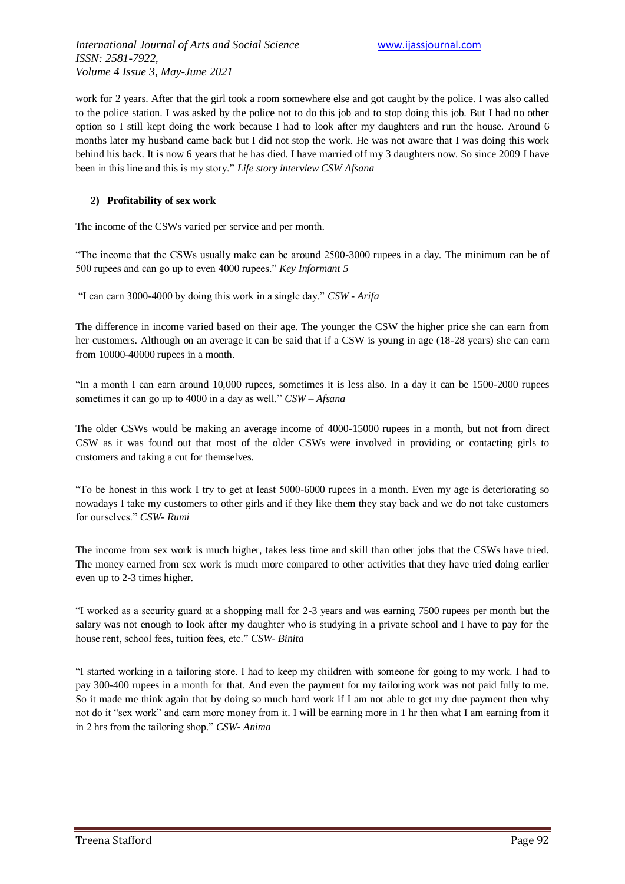work for 2 years. After that the girl took a room somewhere else and got caught by the police. I was also called to the police station. I was asked by the police not to do this job and to stop doing this job. But I had no other option so I still kept doing the work because I had to look after my daughters and run the house. Around 6 months later my husband came back but I did not stop the work. He was not aware that I was doing this work behind his back. It is now 6 years that he has died. I have married off my 3 daughters now. So since 2009 I have been in this line and this is my story." *Life story interview CSW Afsana*

#### **2) Profitability of sex work**

The income of the CSWs varied per service and per month.

"The income that the CSWs usually make can be around 2500-3000 rupees in a day. The minimum can be of 500 rupees and can go up to even 4000 rupees." *Key Informant 5*

"I can earn 3000-4000 by doing this work in a single day." *CSW - Arifa*

The difference in income varied based on their age. The younger the CSW the higher price she can earn from her customers. Although on an average it can be said that if a CSW is young in age (18-28 years) she can earn from 10000-40000 rupees in a month.

"In a month I can earn around 10,000 rupees, sometimes it is less also. In a day it can be 1500-2000 rupees sometimes it can go up to 4000 in a day as well." *CSW – Afsana*

The older CSWs would be making an average income of 4000-15000 rupees in a month, but not from direct CSW as it was found out that most of the older CSWs were involved in providing or contacting girls to customers and taking a cut for themselves.

"To be honest in this work I try to get at least 5000-6000 rupees in a month. Even my age is deteriorating so nowadays I take my customers to other girls and if they like them they stay back and we do not take customers for ourselves." *CSW- Rumi*

The income from sex work is much higher, takes less time and skill than other jobs that the CSWs have tried. The money earned from sex work is much more compared to other activities that they have tried doing earlier even up to 2-3 times higher.

"I worked as a security guard at a shopping mall for 2-3 years and was earning 7500 rupees per month but the salary was not enough to look after my daughter who is studying in a private school and I have to pay for the house rent, school fees, tuition fees, etc." *CSW- Binita*

"I started working in a tailoring store. I had to keep my children with someone for going to my work. I had to pay 300-400 rupees in a month for that. And even the payment for my tailoring work was not paid fully to me. So it made me think again that by doing so much hard work if I am not able to get my due payment then why not do it "sex work" and earn more money from it. I will be earning more in 1 hr then what I am earning from it in 2 hrs from the tailoring shop." *CSW- Anima*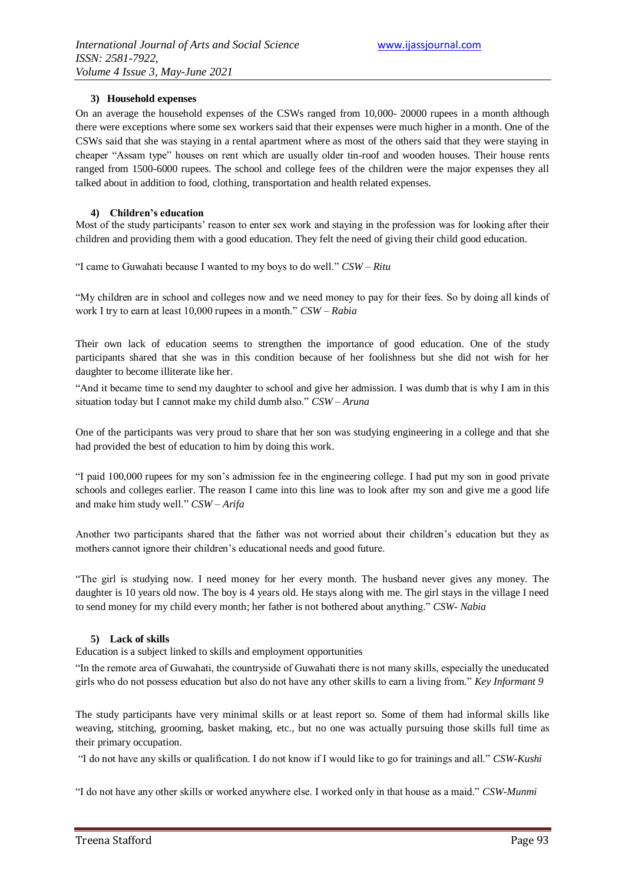#### **3) Household expenses**

On an average the household expenses of the CSWs ranged from 10,000- 20000 rupees in a month although there were exceptions where some sex workers said that their expenses were much higher in a month. One of the CSWs said that she was staying in a rental apartment where as most of the others said that they were staying in cheaper "Assam type" houses on rent which are usually older tin-roof and wooden houses. Their house rents ranged from 1500-6000 rupees. The school and college fees of the children were the major expenses they all talked about in addition to food, clothing, transportation and health related expenses.

#### **4) Children's education**

Most of the study participants' reason to enter sex work and staying in the profession was for looking after their children and providing them with a good education. They felt the need of giving their child good education.

"I came to Guwahati because I wanted to my boys to do well." *CSW – Ritu*

"My children are in school and colleges now and we need money to pay for their fees. So by doing all kinds of work I try to earn at least 10,000 rupees in a month." *CSW – Rabia*

Their own lack of education seems to strengthen the importance of good education. One of the study participants shared that she was in this condition because of her foolishness but she did not wish for her daughter to become illiterate like her.

"And it became time to send my daughter to school and give her admission. I was dumb that is why I am in this situation today but I cannot make my child dumb also." *CSW – Aruna*

One of the participants was very proud to share that her son was studying engineering in a college and that she had provided the best of education to him by doing this work.

"I paid 100,000 rupees for my son"s admission fee in the engineering college. I had put my son in good private schools and colleges earlier. The reason I came into this line was to look after my son and give me a good life and make him study well." *CSW – Arifa*

Another two participants shared that the father was not worried about their children"s education but they as mothers cannot ignore their children"s educational needs and good future.

"The girl is studying now. I need money for her every month. The husband never gives any money. The daughter is 10 years old now. The boy is 4 years old. He stays along with me. The girl stays in the village I need to send money for my child every month; her father is not bothered about anything." *CSW- Nabia*

#### **5) Lack of skills**

Education is a subject linked to skills and employment opportunities

"In the remote area of Guwahati, the countryside of Guwahati there is not many skills, especially the uneducated girls who do not possess education but also do not have any other skills to earn a living from." *Key Informant 9*

The study participants have very minimal skills or at least report so. Some of them had informal skills like weaving, stitching, grooming, basket making, etc., but no one was actually pursuing those skills full time as their primary occupation.

"I do not have any skills or qualification. I do not know if I would like to go for trainings and all." *CSW-Kushi*

"I do not have any other skills or worked anywhere else. I worked only in that house as a maid." *CSW-Munmi*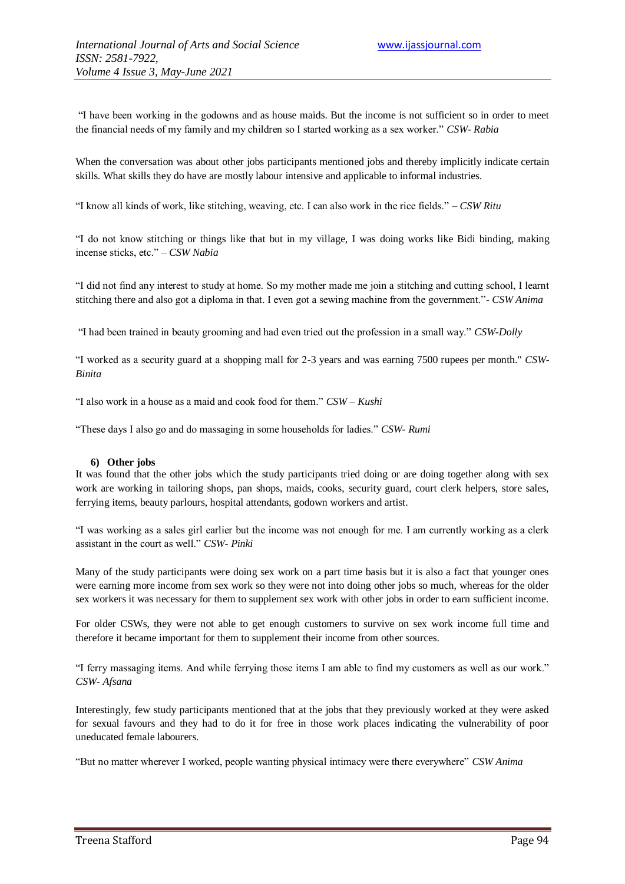"I have been working in the godowns and as house maids. But the income is not sufficient so in order to meet the financial needs of my family and my children so I started working as a sex worker." *CSW- Rabia*

When the conversation was about other jobs participants mentioned jobs and thereby implicitly indicate certain skills. What skills they do have are mostly labour intensive and applicable to informal industries.

"I know all kinds of work, like stitching, weaving, etc. I can also work in the rice fields." – *CSW Ritu*

"I do not know stitching or things like that but in my village, I was doing works like Bidi binding, making incense sticks, etc." – *CSW Nabia*

"I did not find any interest to study at home. So my mother made me join a stitching and cutting school, I learnt stitching there and also got a diploma in that. I even got a sewing machine from the government."- *CSW Anima*

"I had been trained in beauty grooming and had even tried out the profession in a small way." *CSW-Dolly*

"I worked as a security guard at a shopping mall for 2-3 years and was earning 7500 rupees per month." *CSW-Binita*

"I also work in a house as a maid and cook food for them." *CSW – Kushi*

"These days I also go and do massaging in some households for ladies." *CSW- Rumi*

#### **6) Other jobs**

It was found that the other jobs which the study participants tried doing or are doing together along with sex work are working in tailoring shops, pan shops, maids, cooks, security guard, court clerk helpers, store sales, ferrying items, beauty parlours, hospital attendants, godown workers and artist.

"I was working as a sales girl earlier but the income was not enough for me. I am currently working as a clerk assistant in the court as well." *CSW- Pinki*

Many of the study participants were doing sex work on a part time basis but it is also a fact that younger ones were earning more income from sex work so they were not into doing other jobs so much, whereas for the older sex workers it was necessary for them to supplement sex work with other jobs in order to earn sufficient income.

For older CSWs, they were not able to get enough customers to survive on sex work income full time and therefore it became important for them to supplement their income from other sources.

"I ferry massaging items. And while ferrying those items I am able to find my customers as well as our work." *CSW- Afsana*

Interestingly, few study participants mentioned that at the jobs that they previously worked at they were asked for sexual favours and they had to do it for free in those work places indicating the vulnerability of poor uneducated female labourers.

"But no matter wherever I worked, people wanting physical intimacy were there everywhere" *CSW Anima*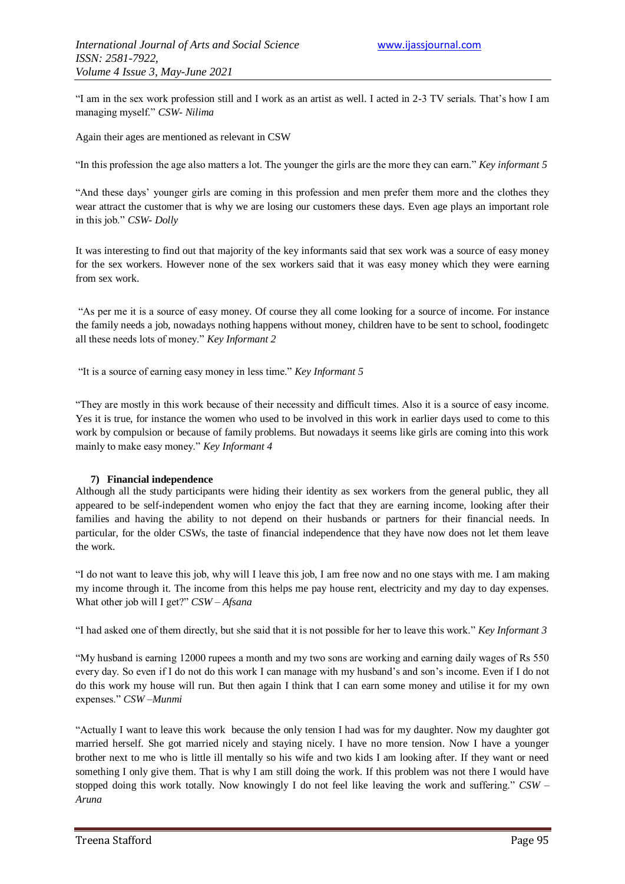"I am in the sex work profession still and I work as an artist as well. I acted in 2-3 TV serials. That"s how I am managing myself." *CSW- Nilima*

Again their ages are mentioned as relevant in CSW

"In this profession the age also matters a lot. The younger the girls are the more they can earn." *Key informant 5*

"And these days" younger girls are coming in this profession and men prefer them more and the clothes they wear attract the customer that is why we are losing our customers these days. Even age plays an important role in this job." *CSW- Dolly*

It was interesting to find out that majority of the key informants said that sex work was a source of easy money for the sex workers. However none of the sex workers said that it was easy money which they were earning from sex work.

"As per me it is a source of easy money. Of course they all come looking for a source of income. For instance the family needs a job, nowadays nothing happens without money, children have to be sent to school, foodingetc all these needs lots of money." *Key Informant 2*

"It is a source of earning easy money in less time." *Key Informant 5*

"They are mostly in this work because of their necessity and difficult times. Also it is a source of easy income. Yes it is true, for instance the women who used to be involved in this work in earlier days used to come to this work by compulsion or because of family problems. But nowadays it seems like girls are coming into this work mainly to make easy money." *Key Informant 4*

#### **7) Financial independence**

Although all the study participants were hiding their identity as sex workers from the general public, they all appeared to be self-independent women who enjoy the fact that they are earning income, looking after their families and having the ability to not depend on their husbands or partners for their financial needs. In particular, for the older CSWs, the taste of financial independence that they have now does not let them leave the work.

"I do not want to leave this job, why will I leave this job, I am free now and no one stays with me. I am making my income through it. The income from this helps me pay house rent, electricity and my day to day expenses. What other job will I get?" *CSW – Afsana*

"I had asked one of them directly, but she said that it is not possible for her to leave this work." *Key Informant 3*

"My husband is earning 12000 rupees a month and my two sons are working and earning daily wages of Rs 550 every day. So even if I do not do this work I can manage with my husband's and son's income. Even if I do not do this work my house will run. But then again I think that I can earn some money and utilise it for my own expenses." *CSW –Munmi*

"Actually I want to leave this work because the only tension I had was for my daughter. Now my daughter got married herself. She got married nicely and staying nicely. I have no more tension. Now I have a younger brother next to me who is little ill mentally so his wife and two kids I am looking after. If they want or need something I only give them. That is why I am still doing the work. If this problem was not there I would have stopped doing this work totally. Now knowingly I do not feel like leaving the work and suffering." *CSW – Aruna*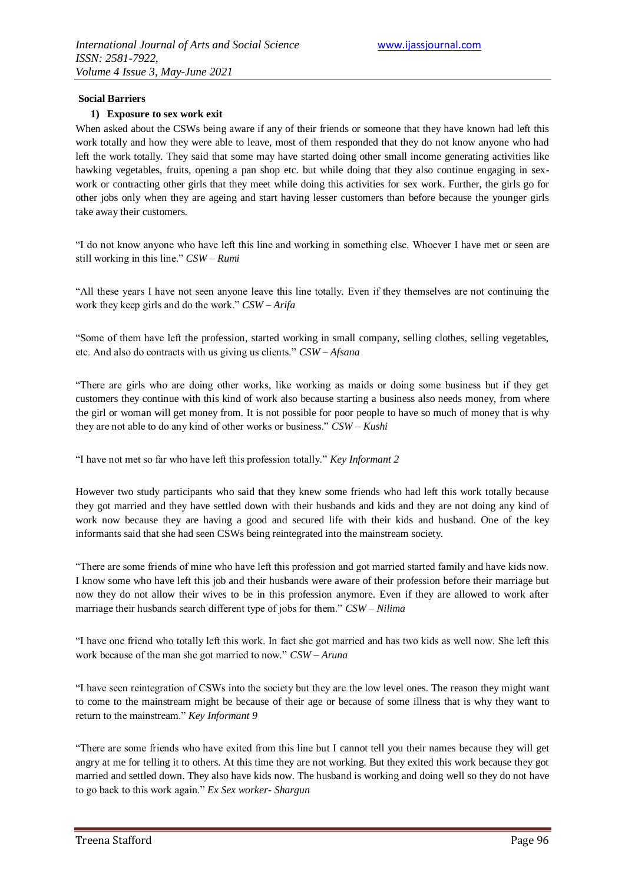#### **Social Barriers**

#### **1) Exposure to sex work exit**

When asked about the CSWs being aware if any of their friends or someone that they have known had left this work totally and how they were able to leave, most of them responded that they do not know anyone who had left the work totally. They said that some may have started doing other small income generating activities like hawking vegetables, fruits, opening a pan shop etc. but while doing that they also continue engaging in sexwork or contracting other girls that they meet while doing this activities for sex work. Further, the girls go for other jobs only when they are ageing and start having lesser customers than before because the younger girls take away their customers.

"I do not know anyone who have left this line and working in something else. Whoever I have met or seen are still working in this line." *CSW – Rumi*

"All these years I have not seen anyone leave this line totally. Even if they themselves are not continuing the work they keep girls and do the work." *CSW – Arifa*

"Some of them have left the profession, started working in small company, selling clothes, selling vegetables, etc. And also do contracts with us giving us clients." *CSW – Afsana*

"There are girls who are doing other works, like working as maids or doing some business but if they get customers they continue with this kind of work also because starting a business also needs money, from where the girl or woman will get money from. It is not possible for poor people to have so much of money that is why they are not able to do any kind of other works or business." *CSW – Kushi*

"I have not met so far who have left this profession totally." *Key Informant 2*

However two study participants who said that they knew some friends who had left this work totally because they got married and they have settled down with their husbands and kids and they are not doing any kind of work now because they are having a good and secured life with their kids and husband. One of the key informants said that she had seen CSWs being reintegrated into the mainstream society.

"There are some friends of mine who have left this profession and got married started family and have kids now. I know some who have left this job and their husbands were aware of their profession before their marriage but now they do not allow their wives to be in this profession anymore. Even if they are allowed to work after marriage their husbands search different type of jobs for them." *CSW – Nilima*

"I have one friend who totally left this work. In fact she got married and has two kids as well now. She left this work because of the man she got married to now." *CSW – Aruna*

"I have seen reintegration of CSWs into the society but they are the low level ones. The reason they might want to come to the mainstream might be because of their age or because of some illness that is why they want to return to the mainstream." *Key Informant 9*

"There are some friends who have exited from this line but I cannot tell you their names because they will get angry at me for telling it to others. At this time they are not working. But they exited this work because they got married and settled down. They also have kids now. The husband is working and doing well so they do not have to go back to this work again." *Ex Sex worker- Shargun*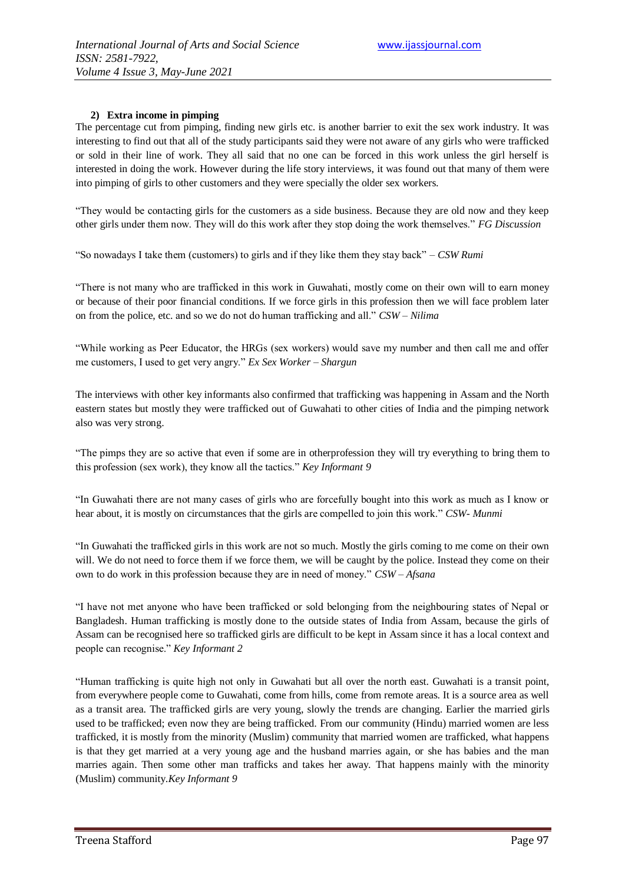#### **2) Extra income in pimping**

The percentage cut from pimping, finding new girls etc. is another barrier to exit the sex work industry. It was interesting to find out that all of the study participants said they were not aware of any girls who were trafficked or sold in their line of work. They all said that no one can be forced in this work unless the girl herself is interested in doing the work. However during the life story interviews, it was found out that many of them were into pimping of girls to other customers and they were specially the older sex workers.

"They would be contacting girls for the customers as a side business. Because they are old now and they keep other girls under them now. They will do this work after they stop doing the work themselves." *FG Discussion*

"So nowadays I take them (customers) to girls and if they like them they stay back" – *CSW Rumi*

"There is not many who are trafficked in this work in Guwahati, mostly come on their own will to earn money or because of their poor financial conditions. If we force girls in this profession then we will face problem later on from the police, etc. and so we do not do human trafficking and all." *CSW – Nilima*

"While working as Peer Educator, the HRGs (sex workers) would save my number and then call me and offer me customers, I used to get very angry." *Ex Sex Worker – Shargun*

The interviews with other key informants also confirmed that trafficking was happening in Assam and the North eastern states but mostly they were trafficked out of Guwahati to other cities of India and the pimping network also was very strong.

"The pimps they are so active that even if some are in otherprofession they will try everything to bring them to this profession (sex work), they know all the tactics." *Key Informant 9*

"In Guwahati there are not many cases of girls who are forcefully bought into this work as much as I know or hear about, it is mostly on circumstances that the girls are compelled to join this work." *CSW- Munmi*

"In Guwahati the trafficked girls in this work are not so much. Mostly the girls coming to me come on their own will. We do not need to force them if we force them, we will be caught by the police. Instead they come on their own to do work in this profession because they are in need of money." *CSW – Afsana*

"I have not met anyone who have been trafficked or sold belonging from the neighbouring states of Nepal or Bangladesh. Human trafficking is mostly done to the outside states of India from Assam, because the girls of Assam can be recognised here so trafficked girls are difficult to be kept in Assam since it has a local context and people can recognise." *Key Informant 2*

"Human trafficking is quite high not only in Guwahati but all over the north east. Guwahati is a transit point, from everywhere people come to Guwahati, come from hills, come from remote areas. It is a source area as well as a transit area. The trafficked girls are very young, slowly the trends are changing. Earlier the married girls used to be trafficked; even now they are being trafficked. From our community (Hindu) married women are less trafficked, it is mostly from the minority (Muslim) community that married women are trafficked, what happens is that they get married at a very young age and the husband marries again, or she has babies and the man marries again. Then some other man trafficks and takes her away. That happens mainly with the minority (Muslim) community.*Key Informant 9*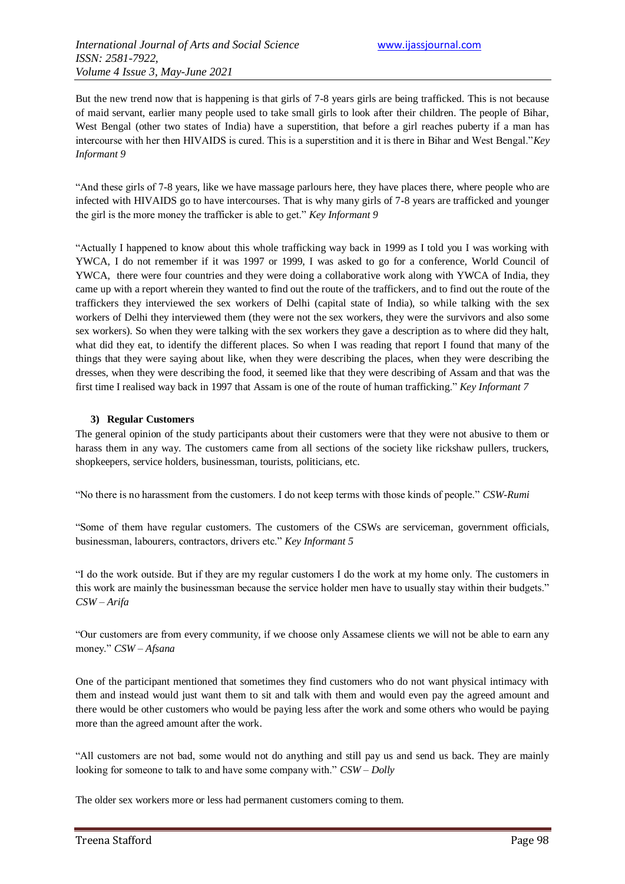But the new trend now that is happening is that girls of 7-8 years girls are being trafficked. This is not because of maid servant, earlier many people used to take small girls to look after their children. The people of Bihar, West Bengal (other two states of India) have a superstition, that before a girl reaches puberty if a man has intercourse with her then HIVAIDS is cured. This is a superstition and it is there in Bihar and West Bengal."*Key Informant 9*

"And these girls of 7-8 years, like we have massage parlours here, they have places there, where people who are infected with HIVAIDS go to have intercourses. That is why many girls of 7-8 years are trafficked and younger the girl is the more money the trafficker is able to get." *Key Informant 9*

"Actually I happened to know about this whole trafficking way back in 1999 as I told you I was working with YWCA, I do not remember if it was 1997 or 1999, I was asked to go for a conference, World Council of YWCA, there were four countries and they were doing a collaborative work along with YWCA of India, they came up with a report wherein they wanted to find out the route of the traffickers, and to find out the route of the traffickers they interviewed the sex workers of Delhi (capital state of India), so while talking with the sex workers of Delhi they interviewed them (they were not the sex workers, they were the survivors and also some sex workers). So when they were talking with the sex workers they gave a description as to where did they halt, what did they eat, to identify the different places. So when I was reading that report I found that many of the things that they were saying about like, when they were describing the places, when they were describing the dresses, when they were describing the food, it seemed like that they were describing of Assam and that was the first time I realised way back in 1997 that Assam is one of the route of human trafficking." *Key Informant 7*

#### **3) Regular Customers**

The general opinion of the study participants about their customers were that they were not abusive to them or harass them in any way. The customers came from all sections of the society like rickshaw pullers, truckers, shopkeepers, service holders, businessman, tourists, politicians, etc.

"No there is no harassment from the customers. I do not keep terms with those kinds of people." *CSW-Rumi*

"Some of them have regular customers. The customers of the CSWs are serviceman, government officials, businessman, labourers, contractors, drivers etc." *Key Informant 5*

"I do the work outside. But if they are my regular customers I do the work at my home only. The customers in this work are mainly the businessman because the service holder men have to usually stay within their budgets." *CSW – Arifa*

"Our customers are from every community, if we choose only Assamese clients we will not be able to earn any money." *CSW – Afsana*

One of the participant mentioned that sometimes they find customers who do not want physical intimacy with them and instead would just want them to sit and talk with them and would even pay the agreed amount and there would be other customers who would be paying less after the work and some others who would be paying more than the agreed amount after the work.

"All customers are not bad, some would not do anything and still pay us and send us back. They are mainly looking for someone to talk to and have some company with." *CSW – Dolly*

The older sex workers more or less had permanent customers coming to them.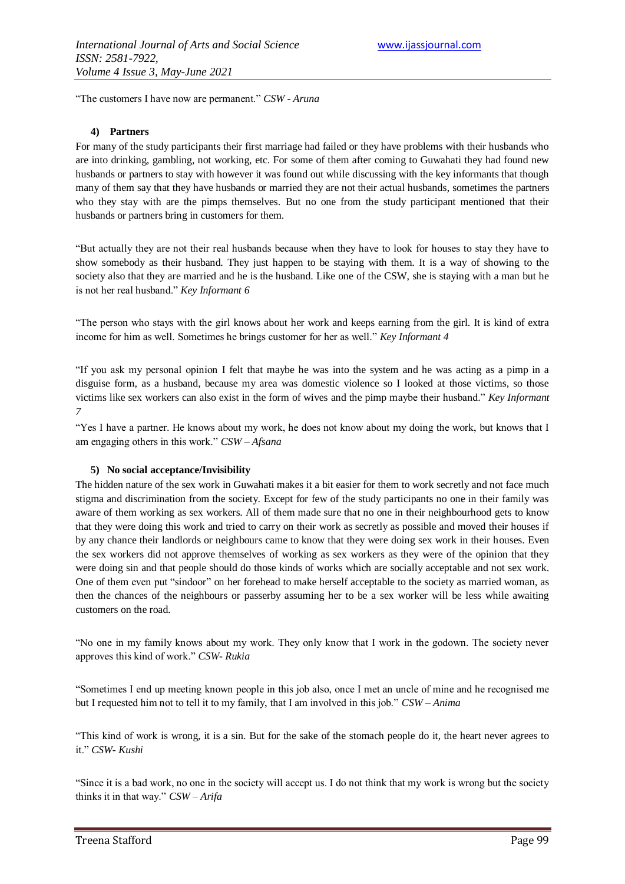"The customers I have now are permanent." *CSW - Aruna*

#### **4) Partners**

For many of the study participants their first marriage had failed or they have problems with their husbands who are into drinking, gambling, not working, etc. For some of them after coming to Guwahati they had found new husbands or partners to stay with however it was found out while discussing with the key informants that though many of them say that they have husbands or married they are not their actual husbands, sometimes the partners who they stay with are the pimps themselves. But no one from the study participant mentioned that their husbands or partners bring in customers for them.

"But actually they are not their real husbands because when they have to look for houses to stay they have to show somebody as their husband. They just happen to be staying with them. It is a way of showing to the society also that they are married and he is the husband. Like one of the CSW, she is staying with a man but he is not her real husband." *Key Informant 6*

"The person who stays with the girl knows about her work and keeps earning from the girl. It is kind of extra income for him as well. Sometimes he brings customer for her as well." *Key Informant 4*

"If you ask my personal opinion I felt that maybe he was into the system and he was acting as a pimp in a disguise form, as a husband, because my area was domestic violence so I looked at those victims, so those victims like sex workers can also exist in the form of wives and the pimp maybe their husband." *Key Informant 7*

"Yes I have a partner. He knows about my work, he does not know about my doing the work, but knows that I am engaging others in this work." *CSW – Afsana*

#### **5) No social acceptance/Invisibility**

The hidden nature of the sex work in Guwahati makes it a bit easier for them to work secretly and not face much stigma and discrimination from the society. Except for few of the study participants no one in their family was aware of them working as sex workers. All of them made sure that no one in their neighbourhood gets to know that they were doing this work and tried to carry on their work as secretly as possible and moved their houses if by any chance their landlords or neighbours came to know that they were doing sex work in their houses. Even the sex workers did not approve themselves of working as sex workers as they were of the opinion that they were doing sin and that people should do those kinds of works which are socially acceptable and not sex work. One of them even put "sindoor" on her forehead to make herself acceptable to the society as married woman, as then the chances of the neighbours or passerby assuming her to be a sex worker will be less while awaiting customers on the road.

"No one in my family knows about my work. They only know that I work in the godown. The society never approves this kind of work." *CSW- Rukia*

"Sometimes I end up meeting known people in this job also, once I met an uncle of mine and he recognised me but I requested him not to tell it to my family, that I am involved in this job." *CSW – Anima*

"This kind of work is wrong, it is a sin. But for the sake of the stomach people do it, the heart never agrees to it." *CSW- Kushi*

"Since it is a bad work, no one in the society will accept us. I do not think that my work is wrong but the society thinks it in that way." *CSW – Arifa*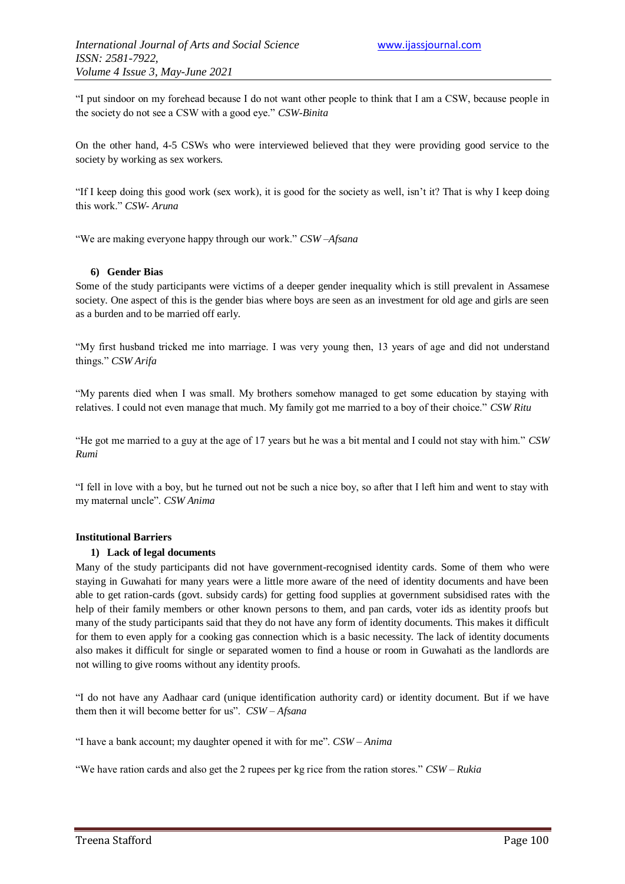"I put sindoor on my forehead because I do not want other people to think that I am a CSW, because people in the society do not see a CSW with a good eye." *CSW-Binita*

On the other hand, 4-5 CSWs who were interviewed believed that they were providing good service to the society by working as sex workers.

"If I keep doing this good work (sex work), it is good for the society as well, isn"t it? That is why I keep doing this work." *CSW- Aruna*

"We are making everyone happy through our work." *CSW –Afsana*

#### **6) Gender Bias**

Some of the study participants were victims of a deeper gender inequality which is still prevalent in Assamese society. One aspect of this is the gender bias where boys are seen as an investment for old age and girls are seen as a burden and to be married off early.

"My first husband tricked me into marriage. I was very young then, 13 years of age and did not understand things." *CSW Arifa*

"My parents died when I was small. My brothers somehow managed to get some education by staying with relatives. I could not even manage that much. My family got me married to a boy of their choice." *CSW Ritu*

"He got me married to a guy at the age of 17 years but he was a bit mental and I could not stay with him." *CSW Rumi*

"I fell in love with a boy, but he turned out not be such a nice boy, so after that I left him and went to stay with my maternal uncle". *CSW Anima*

#### **Institutional Barriers**

#### **1) Lack of legal documents**

Many of the study participants did not have government-recognised identity cards. Some of them who were staying in Guwahati for many years were a little more aware of the need of identity documents and have been able to get ration-cards (govt. subsidy cards) for getting food supplies at government subsidised rates with the help of their family members or other known persons to them, and pan cards, voter ids as identity proofs but many of the study participants said that they do not have any form of identity documents. This makes it difficult for them to even apply for a cooking gas connection which is a basic necessity. The lack of identity documents also makes it difficult for single or separated women to find a house or room in Guwahati as the landlords are not willing to give rooms without any identity proofs.

"I do not have any Aadhaar card (unique identification authority card) or identity document. But if we have them then it will become better for us". *CSW – Afsana*

"I have a bank account; my daughter opened it with for me". *CSW – Anima*

"We have ration cards and also get the 2 rupees per kg rice from the ration stores." *CSW – Rukia*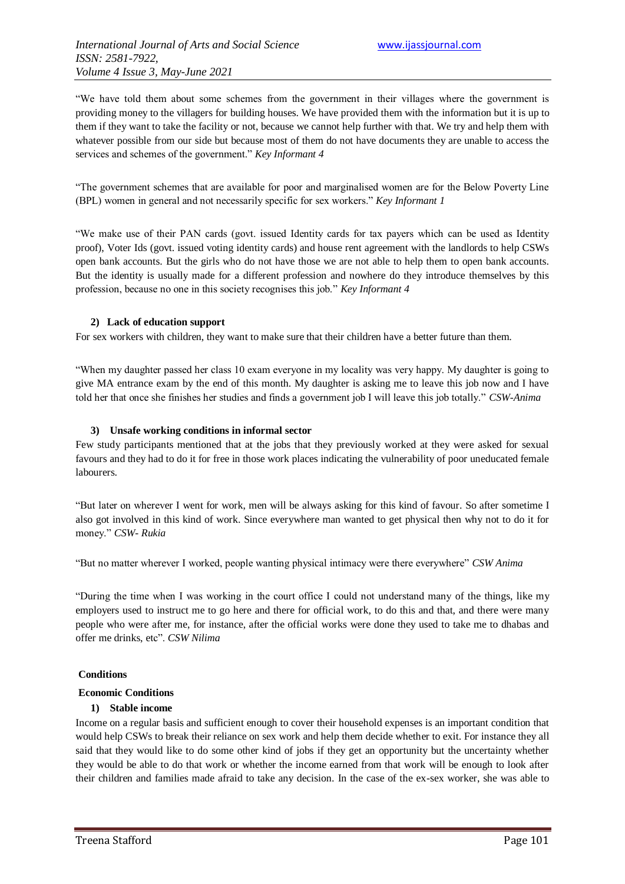"We have told them about some schemes from the government in their villages where the government is providing money to the villagers for building houses. We have provided them with the information but it is up to them if they want to take the facility or not, because we cannot help further with that. We try and help them with whatever possible from our side but because most of them do not have documents they are unable to access the services and schemes of the government." *Key Informant 4*

"The government schemes that are available for poor and marginalised women are for the Below Poverty Line (BPL) women in general and not necessarily specific for sex workers." *Key Informant 1*

"We make use of their PAN cards (govt. issued Identity cards for tax payers which can be used as Identity proof), Voter Ids (govt. issued voting identity cards) and house rent agreement with the landlords to help CSWs open bank accounts. But the girls who do not have those we are not able to help them to open bank accounts. But the identity is usually made for a different profession and nowhere do they introduce themselves by this profession, because no one in this society recognises this job." *Key Informant 4*

#### **2) Lack of education support**

For sex workers with children, they want to make sure that their children have a better future than them.

"When my daughter passed her class 10 exam everyone in my locality was very happy. My daughter is going to give MA entrance exam by the end of this month. My daughter is asking me to leave this job now and I have told her that once she finishes her studies and finds a government job I will leave this job totally." *CSW-Anima*

#### **3) Unsafe working conditions in informal sector**

Few study participants mentioned that at the jobs that they previously worked at they were asked for sexual favours and they had to do it for free in those work places indicating the vulnerability of poor uneducated female labourers.

"But later on wherever I went for work, men will be always asking for this kind of favour. So after sometime I also got involved in this kind of work. Since everywhere man wanted to get physical then why not to do it for money." *CSW- Rukia*

"But no matter wherever I worked, people wanting physical intimacy were there everywhere" *CSW Anima*

"During the time when I was working in the court office I could not understand many of the things, like my employers used to instruct me to go here and there for official work, to do this and that, and there were many people who were after me, for instance, after the official works were done they used to take me to dhabas and offer me drinks, etc". *CSW Nilima*

#### **Conditions**

#### **Economic Conditions**

#### **1) Stable income**

Income on a regular basis and sufficient enough to cover their household expenses is an important condition that would help CSWs to break their reliance on sex work and help them decide whether to exit. For instance they all said that they would like to do some other kind of jobs if they get an opportunity but the uncertainty whether they would be able to do that work or whether the income earned from that work will be enough to look after their children and families made afraid to take any decision. In the case of the ex-sex worker, she was able to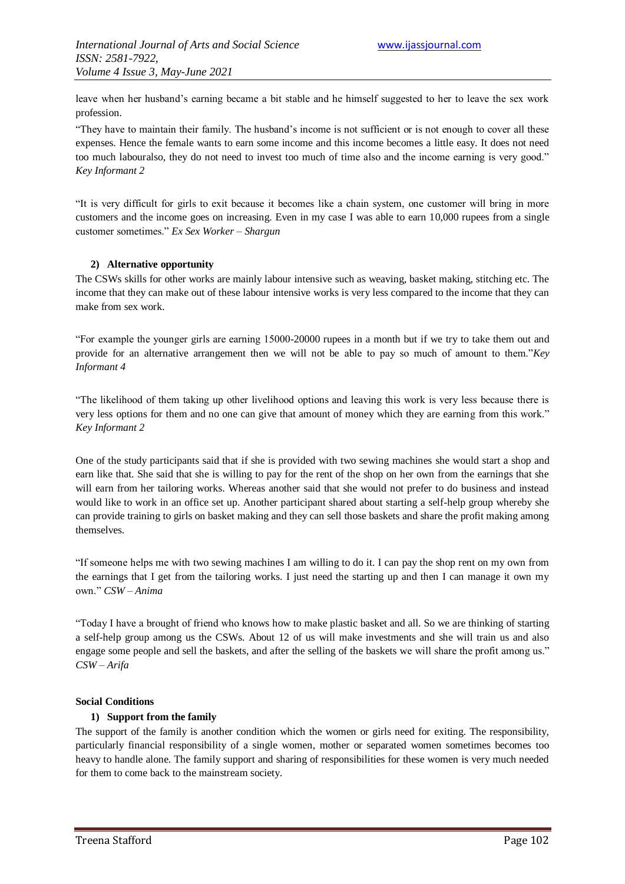leave when her husband's earning became a bit stable and he himself suggested to her to leave the sex work profession.

"They have to maintain their family. The husband's income is not sufficient or is not enough to cover all these expenses. Hence the female wants to earn some income and this income becomes a little easy. It does not need too much labouralso, they do not need to invest too much of time also and the income earning is very good." *Key Informant 2*

"It is very difficult for girls to exit because it becomes like a chain system, one customer will bring in more customers and the income goes on increasing. Even in my case I was able to earn 10,000 rupees from a single customer sometimes." *Ex Sex Worker – Shargun*

### **2) Alternative opportunity**

The CSWs skills for other works are mainly labour intensive such as weaving, basket making, stitching etc. The income that they can make out of these labour intensive works is very less compared to the income that they can make from sex work.

"For example the younger girls are earning 15000-20000 rupees in a month but if we try to take them out and provide for an alternative arrangement then we will not be able to pay so much of amount to them."*Key Informant 4*

"The likelihood of them taking up other livelihood options and leaving this work is very less because there is very less options for them and no one can give that amount of money which they are earning from this work." *Key Informant 2*

One of the study participants said that if she is provided with two sewing machines she would start a shop and earn like that. She said that she is willing to pay for the rent of the shop on her own from the earnings that she will earn from her tailoring works. Whereas another said that she would not prefer to do business and instead would like to work in an office set up. Another participant shared about starting a self-help group whereby she can provide training to girls on basket making and they can sell those baskets and share the profit making among themselves.

"If someone helps me with two sewing machines I am willing to do it. I can pay the shop rent on my own from the earnings that I get from the tailoring works. I just need the starting up and then I can manage it own my own." *CSW – Anima*

"Today I have a brought of friend who knows how to make plastic basket and all. So we are thinking of starting a self-help group among us the CSWs. About 12 of us will make investments and she will train us and also engage some people and sell the baskets, and after the selling of the baskets we will share the profit among us." *CSW – Arifa*

#### **Social Conditions**

#### **1) Support from the family**

The support of the family is another condition which the women or girls need for exiting. The responsibility, particularly financial responsibility of a single women, mother or separated women sometimes becomes too heavy to handle alone. The family support and sharing of responsibilities for these women is very much needed for them to come back to the mainstream society.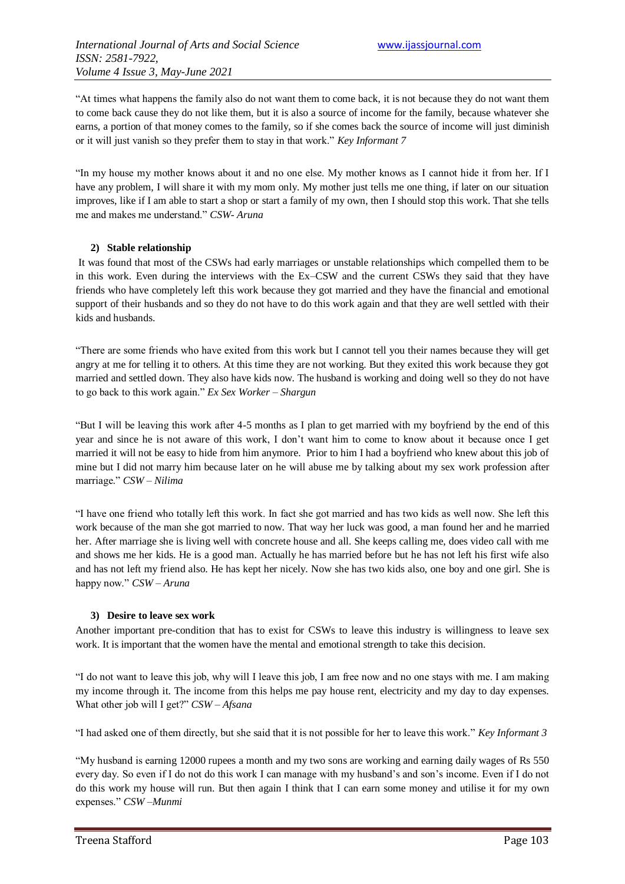"At times what happens the family also do not want them to come back, it is not because they do not want them to come back cause they do not like them, but it is also a source of income for the family, because whatever she earns, a portion of that money comes to the family, so if she comes back the source of income will just diminish or it will just vanish so they prefer them to stay in that work." *Key Informant 7*

"In my house my mother knows about it and no one else. My mother knows as I cannot hide it from her. If I have any problem, I will share it with my mom only. My mother just tells me one thing, if later on our situation improves, like if I am able to start a shop or start a family of my own, then I should stop this work. That she tells me and makes me understand." *CSW- Aruna*

#### **2) Stable relationship**

It was found that most of the CSWs had early marriages or unstable relationships which compelled them to be in this work. Even during the interviews with the Ex–CSW and the current CSWs they said that they have friends who have completely left this work because they got married and they have the financial and emotional support of their husbands and so they do not have to do this work again and that they are well settled with their kids and husbands.

"There are some friends who have exited from this work but I cannot tell you their names because they will get angry at me for telling it to others. At this time they are not working. But they exited this work because they got married and settled down. They also have kids now. The husband is working and doing well so they do not have to go back to this work again." *Ex Sex Worker – Shargun*

"But I will be leaving this work after 4-5 months as I plan to get married with my boyfriend by the end of this year and since he is not aware of this work, I don"t want him to come to know about it because once I get married it will not be easy to hide from him anymore. Prior to him I had a boyfriend who knew about this job of mine but I did not marry him because later on he will abuse me by talking about my sex work profession after marriage." *CSW – Nilima*

"I have one friend who totally left this work. In fact she got married and has two kids as well now. She left this work because of the man she got married to now. That way her luck was good, a man found her and he married her. After marriage she is living well with concrete house and all. She keeps calling me, does video call with me and shows me her kids. He is a good man. Actually he has married before but he has not left his first wife also and has not left my friend also. He has kept her nicely. Now she has two kids also, one boy and one girl. She is happy now." *CSW – Aruna*

#### **3) Desire to leave sex work**

Another important pre-condition that has to exist for CSWs to leave this industry is willingness to leave sex work. It is important that the women have the mental and emotional strength to take this decision.

"I do not want to leave this job, why will I leave this job, I am free now and no one stays with me. I am making my income through it. The income from this helps me pay house rent, electricity and my day to day expenses. What other job will I get?" *CSW – Afsana*

"I had asked one of them directly, but she said that it is not possible for her to leave this work." *Key Informant 3*

"My husband is earning 12000 rupees a month and my two sons are working and earning daily wages of Rs 550 every day. So even if I do not do this work I can manage with my husband"s and son"s income. Even if I do not do this work my house will run. But then again I think that I can earn some money and utilise it for my own expenses." *CSW –Munmi*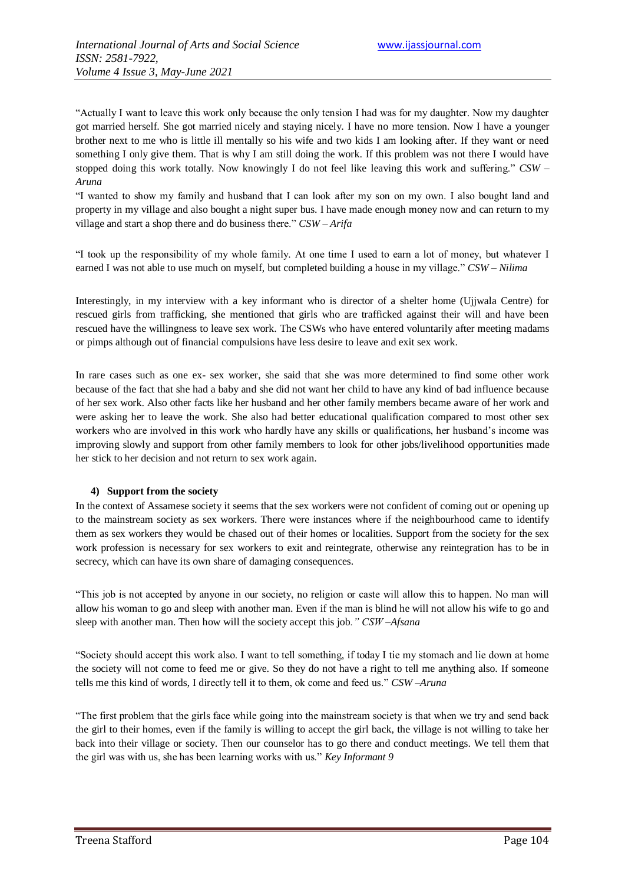"Actually I want to leave this work only because the only tension I had was for my daughter. Now my daughter got married herself. She got married nicely and staying nicely. I have no more tension. Now I have a younger brother next to me who is little ill mentally so his wife and two kids I am looking after. If they want or need something I only give them. That is why I am still doing the work. If this problem was not there I would have stopped doing this work totally. Now knowingly I do not feel like leaving this work and suffering." *CSW – Aruna*

"I wanted to show my family and husband that I can look after my son on my own. I also bought land and property in my village and also bought a night super bus. I have made enough money now and can return to my village and start a shop there and do business there." *CSW – Arifa*

"I took up the responsibility of my whole family. At one time I used to earn a lot of money, but whatever I earned I was not able to use much on myself, but completed building a house in my village." *CSW – Nilima*

Interestingly, in my interview with a key informant who is director of a shelter home (Ujjwala Centre) for rescued girls from trafficking, she mentioned that girls who are trafficked against their will and have been rescued have the willingness to leave sex work. The CSWs who have entered voluntarily after meeting madams or pimps although out of financial compulsions have less desire to leave and exit sex work.

In rare cases such as one ex- sex worker, she said that she was more determined to find some other work because of the fact that she had a baby and she did not want her child to have any kind of bad influence because of her sex work. Also other facts like her husband and her other family members became aware of her work and were asking her to leave the work. She also had better educational qualification compared to most other sex workers who are involved in this work who hardly have any skills or qualifications, her husband"s income was improving slowly and support from other family members to look for other jobs/livelihood opportunities made her stick to her decision and not return to sex work again.

#### **4) Support from the society**

In the context of Assamese society it seems that the sex workers were not confident of coming out or opening up to the mainstream society as sex workers. There were instances where if the neighbourhood came to identify them as sex workers they would be chased out of their homes or localities. Support from the society for the sex work profession is necessary for sex workers to exit and reintegrate, otherwise any reintegration has to be in secrecy, which can have its own share of damaging consequences.

"This job is not accepted by anyone in our society, no religion or caste will allow this to happen. No man will allow his woman to go and sleep with another man. Even if the man is blind he will not allow his wife to go and sleep with another man. Then how will the society accept this job*." CSW –Afsana*

"Society should accept this work also. I want to tell something, if today I tie my stomach and lie down at home the society will not come to feed me or give. So they do not have a right to tell me anything also. If someone tells me this kind of words, I directly tell it to them, ok come and feed us." *CSW –Aruna*

"The first problem that the girls face while going into the mainstream society is that when we try and send back the girl to their homes, even if the family is willing to accept the girl back, the village is not willing to take her back into their village or society. Then our counselor has to go there and conduct meetings. We tell them that the girl was with us, she has been learning works with us." *Key Informant 9*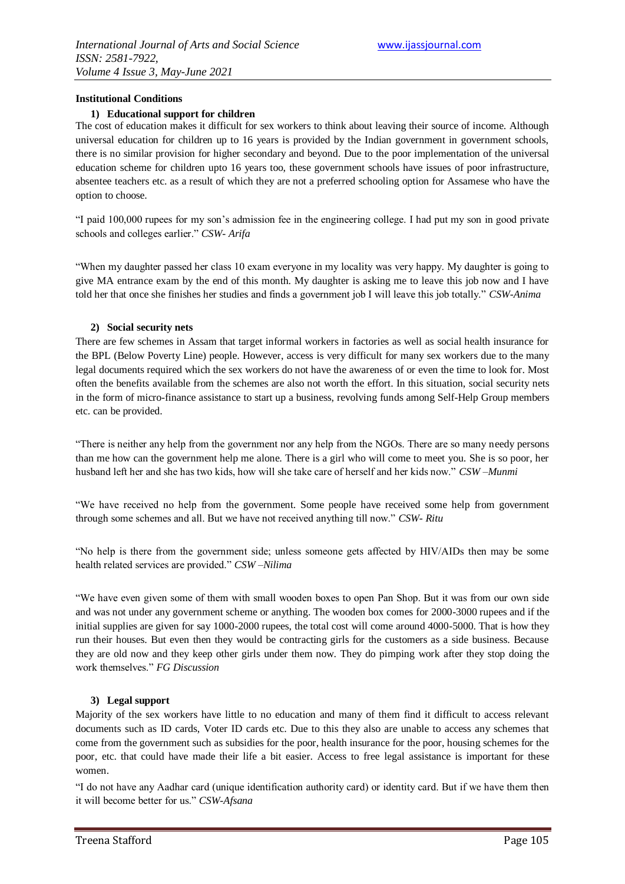#### **Institutional Conditions**

#### **1) Educational support for children**

The cost of education makes it difficult for sex workers to think about leaving their source of income. Although universal education for children up to 16 years is provided by the Indian government in government schools, there is no similar provision for higher secondary and beyond. Due to the poor implementation of the universal education scheme for children upto 16 years too, these government schools have issues of poor infrastructure, absentee teachers etc. as a result of which they are not a preferred schooling option for Assamese who have the option to choose.

"I paid 100,000 rupees for my son"s admission fee in the engineering college. I had put my son in good private schools and colleges earlier." *CSW- Arifa*

"When my daughter passed her class 10 exam everyone in my locality was very happy. My daughter is going to give MA entrance exam by the end of this month. My daughter is asking me to leave this job now and I have told her that once she finishes her studies and finds a government job I will leave this job totally." *CSW-Anima*

#### **2) Social security nets**

There are few schemes in Assam that target informal workers in factories as well as social health insurance for the BPL (Below Poverty Line) people. However, access is very difficult for many sex workers due to the many legal documents required which the sex workers do not have the awareness of or even the time to look for. Most often the benefits available from the schemes are also not worth the effort. In this situation, social security nets in the form of micro-finance assistance to start up a business, revolving funds among Self-Help Group members etc. can be provided.

"There is neither any help from the government nor any help from the NGOs. There are so many needy persons than me how can the government help me alone. There is a girl who will come to meet you. She is so poor, her husband left her and she has two kids, how will she take care of herself and her kids now." *CSW –Munmi*

"We have received no help from the government. Some people have received some help from government through some schemes and all. But we have not received anything till now." *CSW- Ritu*

"No help is there from the government side; unless someone gets affected by HIV/AIDs then may be some health related services are provided." *CSW –Nilima*

"We have even given some of them with small wooden boxes to open Pan Shop. But it was from our own side and was not under any government scheme or anything. The wooden box comes for 2000-3000 rupees and if the initial supplies are given for say 1000-2000 rupees, the total cost will come around 4000-5000. That is how they run their houses. But even then they would be contracting girls for the customers as a side business. Because they are old now and they keep other girls under them now. They do pimping work after they stop doing the work themselves." *FG Discussion*

#### **3) Legal support**

Majority of the sex workers have little to no education and many of them find it difficult to access relevant documents such as ID cards, Voter ID cards etc. Due to this they also are unable to access any schemes that come from the government such as subsidies for the poor, health insurance for the poor, housing schemes for the poor, etc. that could have made their life a bit easier. Access to free legal assistance is important for these women.

"I do not have any Aadhar card (unique identification authority card) or identity card. But if we have them then it will become better for us." *CSW-Afsana*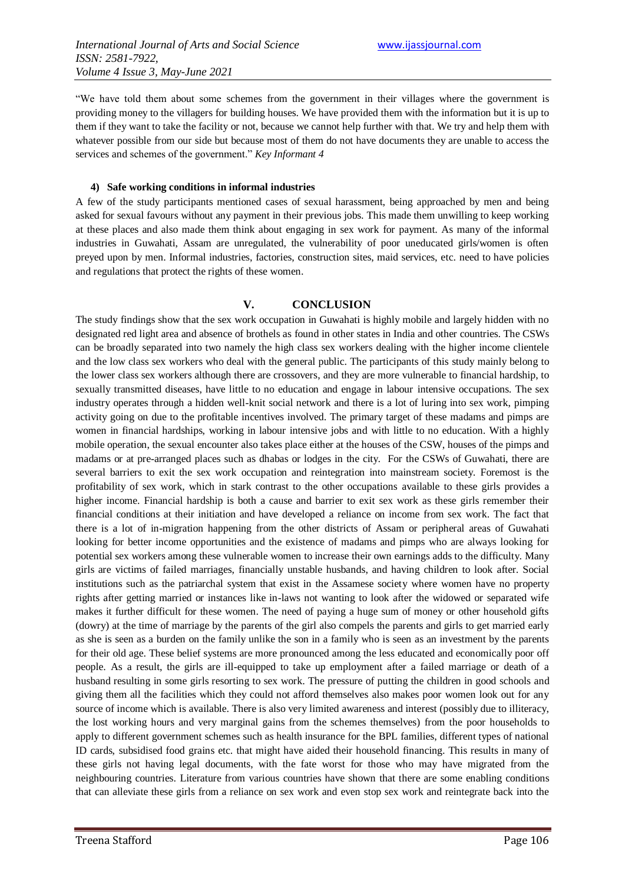"We have told them about some schemes from the government in their villages where the government is providing money to the villagers for building houses. We have provided them with the information but it is up to them if they want to take the facility or not, because we cannot help further with that. We try and help them with whatever possible from our side but because most of them do not have documents they are unable to access the services and schemes of the government." *Key Informant 4*

#### **4) Safe working conditions in informal industries**

A few of the study participants mentioned cases of sexual harassment, being approached by men and being asked for sexual favours without any payment in their previous jobs. This made them unwilling to keep working at these places and also made them think about engaging in sex work for payment. As many of the informal industries in Guwahati, Assam are unregulated, the vulnerability of poor uneducated girls/women is often preyed upon by men. Informal industries, factories, construction sites, maid services, etc. need to have policies and regulations that protect the rights of these women.

### **V. CONCLUSION**

The study findings show that the sex work occupation in Guwahati is highly mobile and largely hidden with no designated red light area and absence of brothels as found in other states in India and other countries. The CSWs can be broadly separated into two namely the high class sex workers dealing with the higher income clientele and the low class sex workers who deal with the general public. The participants of this study mainly belong to the lower class sex workers although there are crossovers, and they are more vulnerable to financial hardship, to sexually transmitted diseases, have little to no education and engage in labour intensive occupations. The sex industry operates through a hidden well-knit social network and there is a lot of luring into sex work, pimping activity going on due to the profitable incentives involved. The primary target of these madams and pimps are women in financial hardships, working in labour intensive jobs and with little to no education. With a highly mobile operation, the sexual encounter also takes place either at the houses of the CSW, houses of the pimps and madams or at pre-arranged places such as dhabas or lodges in the city. For the CSWs of Guwahati, there are several barriers to exit the sex work occupation and reintegration into mainstream society. Foremost is the profitability of sex work, which in stark contrast to the other occupations available to these girls provides a higher income. Financial hardship is both a cause and barrier to exit sex work as these girls remember their financial conditions at their initiation and have developed a reliance on income from sex work. The fact that there is a lot of in-migration happening from the other districts of Assam or peripheral areas of Guwahati looking for better income opportunities and the existence of madams and pimps who are always looking for potential sex workers among these vulnerable women to increase their own earnings adds to the difficulty. Many girls are victims of failed marriages, financially unstable husbands, and having children to look after. Social institutions such as the patriarchal system that exist in the Assamese society where women have no property rights after getting married or instances like in-laws not wanting to look after the widowed or separated wife makes it further difficult for these women. The need of paying a huge sum of money or other household gifts (dowry) at the time of marriage by the parents of the girl also compels the parents and girls to get married early as she is seen as a burden on the family unlike the son in a family who is seen as an investment by the parents for their old age. These belief systems are more pronounced among the less educated and economically poor off people. As a result, the girls are ill-equipped to take up employment after a failed marriage or death of a husband resulting in some girls resorting to sex work. The pressure of putting the children in good schools and giving them all the facilities which they could not afford themselves also makes poor women look out for any source of income which is available. There is also very limited awareness and interest (possibly due to illiteracy, the lost working hours and very marginal gains from the schemes themselves) from the poor households to apply to different government schemes such as health insurance for the BPL families, different types of national ID cards, subsidised food grains etc. that might have aided their household financing. This results in many of these girls not having legal documents, with the fate worst for those who may have migrated from the neighbouring countries. Literature from various countries have shown that there are some enabling conditions that can alleviate these girls from a reliance on sex work and even stop sex work and reintegrate back into the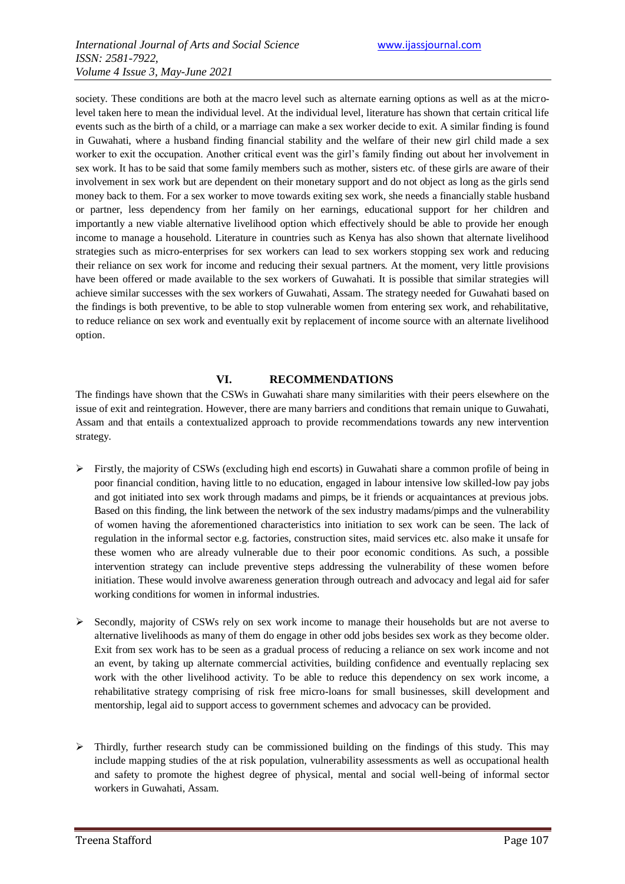society. These conditions are both at the macro level such as alternate earning options as well as at the microlevel taken here to mean the individual level. At the individual level, literature has shown that certain critical life events such as the birth of a child, or a marriage can make a sex worker decide to exit. A similar finding is found in Guwahati, where a husband finding financial stability and the welfare of their new girl child made a sex worker to exit the occupation. Another critical event was the girl"s family finding out about her involvement in sex work. It has to be said that some family members such as mother, sisters etc. of these girls are aware of their involvement in sex work but are dependent on their monetary support and do not object as long as the girls send money back to them. For a sex worker to move towards exiting sex work, she needs a financially stable husband or partner, less dependency from her family on her earnings, educational support for her children and importantly a new viable alternative livelihood option which effectively should be able to provide her enough income to manage a household. Literature in countries such as Kenya has also shown that alternate livelihood strategies such as micro-enterprises for sex workers can lead to sex workers stopping sex work and reducing their reliance on sex work for income and reducing their sexual partners. At the moment, very little provisions have been offered or made available to the sex workers of Guwahati. It is possible that similar strategies will achieve similar successes with the sex workers of Guwahati, Assam. The strategy needed for Guwahati based on the findings is both preventive, to be able to stop vulnerable women from entering sex work, and rehabilitative, to reduce reliance on sex work and eventually exit by replacement of income source with an alternate livelihood option.

### **VI. RECOMMENDATIONS**

The findings have shown that the CSWs in Guwahati share many similarities with their peers elsewhere on the issue of exit and reintegration. However, there are many barriers and conditions that remain unique to Guwahati, Assam and that entails a contextualized approach to provide recommendations towards any new intervention strategy.

- $\triangleright$  Firstly, the majority of CSWs (excluding high end escorts) in Guwahati share a common profile of being in poor financial condition, having little to no education, engaged in labour intensive low skilled-low pay jobs and got initiated into sex work through madams and pimps, be it friends or acquaintances at previous jobs. Based on this finding, the link between the network of the sex industry madams/pimps and the vulnerability of women having the aforementioned characteristics into initiation to sex work can be seen. The lack of regulation in the informal sector e.g. factories, construction sites, maid services etc. also make it unsafe for these women who are already vulnerable due to their poor economic conditions. As such, a possible intervention strategy can include preventive steps addressing the vulnerability of these women before initiation. These would involve awareness generation through outreach and advocacy and legal aid for safer working conditions for women in informal industries.
- $\triangleright$  Secondly, majority of CSWs rely on sex work income to manage their households but are not averse to alternative livelihoods as many of them do engage in other odd jobs besides sex work as they become older. Exit from sex work has to be seen as a gradual process of reducing a reliance on sex work income and not an event, by taking up alternate commercial activities, building confidence and eventually replacing sex work with the other livelihood activity. To be able to reduce this dependency on sex work income, a rehabilitative strategy comprising of risk free micro-loans for small businesses, skill development and mentorship, legal aid to support access to government schemes and advocacy can be provided.
- $\triangleright$  Thirdly, further research study can be commissioned building on the findings of this study. This may include mapping studies of the at risk population, vulnerability assessments as well as occupational health and safety to promote the highest degree of physical, mental and social well-being of informal sector workers in Guwahati, Assam.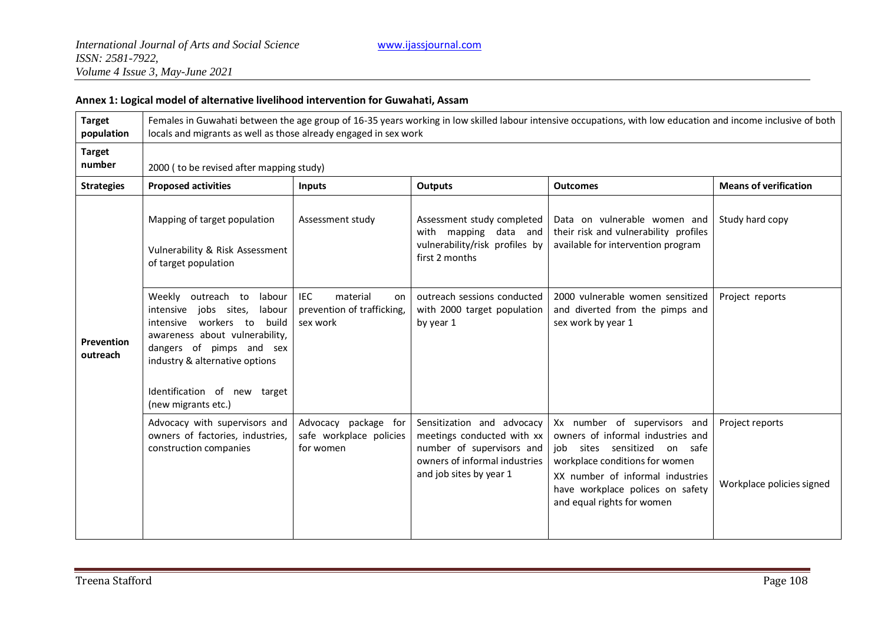### **Annex 1: Logical model of alternative livelihood intervention for Guwahati, Assam**

| <b>Target</b><br>population | Females in Guwahati between the age group of 16-35 years working in low skilled labour intensive occupations, with low education and income inclusive of both<br>locals and migrants as well as those already engaged in sex work                       |                                                                        |                                                                                                                                                   |                                                                                                                                                                                                                                           |                                              |  |  |  |
|-----------------------------|---------------------------------------------------------------------------------------------------------------------------------------------------------------------------------------------------------------------------------------------------------|------------------------------------------------------------------------|---------------------------------------------------------------------------------------------------------------------------------------------------|-------------------------------------------------------------------------------------------------------------------------------------------------------------------------------------------------------------------------------------------|----------------------------------------------|--|--|--|
| <b>Target</b><br>number     | 2000 (to be revised after mapping study)                                                                                                                                                                                                                |                                                                        |                                                                                                                                                   |                                                                                                                                                                                                                                           |                                              |  |  |  |
| <b>Strategies</b>           | <b>Proposed activities</b>                                                                                                                                                                                                                              | <b>Inputs</b>                                                          | <b>Outputs</b>                                                                                                                                    | <b>Outcomes</b>                                                                                                                                                                                                                           | <b>Means of verification</b>                 |  |  |  |
| Prevention<br>outreach      | Mapping of target population<br>Vulnerability & Risk Assessment<br>of target population                                                                                                                                                                 | Assessment study                                                       | Assessment study completed<br>with mapping data and<br>vulnerability/risk profiles by<br>first 2 months                                           | Data on vulnerable women and<br>their risk and vulnerability profiles<br>available for intervention program                                                                                                                               | Study hard copy                              |  |  |  |
|                             | labour<br>Weekly outreach to<br>intensive jobs sites,<br>labour<br>intensive workers to<br>build<br>awareness about vulnerability,<br>dangers of pimps and sex<br>industry & alternative options<br>Identification of new target<br>(new migrants etc.) | <b>IEC</b><br>material<br>on<br>prevention of trafficking,<br>sex work | outreach sessions conducted<br>with 2000 target population<br>by year 1                                                                           | 2000 vulnerable women sensitized<br>and diverted from the pimps and<br>sex work by year 1                                                                                                                                                 | Project reports                              |  |  |  |
|                             | Advocacy with supervisors and<br>owners of factories, industries,<br>construction companies                                                                                                                                                             | Advocacy package for<br>safe workplace policies<br>for women           | Sensitization and advocacy<br>meetings conducted with xx<br>number of supervisors and<br>owners of informal industries<br>and job sites by year 1 | Xx number of supervisors and<br>owners of informal industries and<br>job sites sensitized on safe<br>workplace conditions for women<br>XX number of informal industries<br>have workplace polices on safety<br>and equal rights for women | Project reports<br>Workplace policies signed |  |  |  |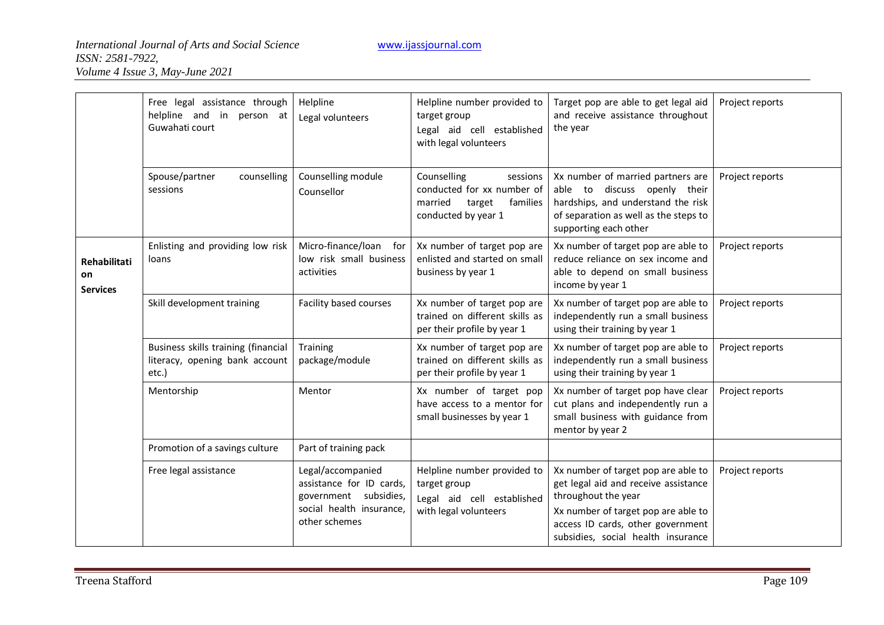|                                       | Free legal assistance through<br>helpline and in person at<br>Guwahati court   | Helpline<br>Legal volunteers                                                                                        | Helpline number provided to<br>target group<br>Legal aid cell established<br>with legal volunteers            | Target pop are able to get legal aid<br>and receive assistance throughout<br>the year                                                                                                                                | Project reports |
|---------------------------------------|--------------------------------------------------------------------------------|---------------------------------------------------------------------------------------------------------------------|---------------------------------------------------------------------------------------------------------------|----------------------------------------------------------------------------------------------------------------------------------------------------------------------------------------------------------------------|-----------------|
|                                       | Spouse/partner<br>counselling<br>sessions                                      | Counselling module<br>Counsellor                                                                                    | Counselling<br>sessions<br>conducted for xx number of<br>married<br>target<br>families<br>conducted by year 1 | Xx number of married partners are<br>able to discuss openly their<br>hardships, and understand the risk<br>of separation as well as the steps to<br>supporting each other                                            | Project reports |
| Rehabilitati<br>on<br><b>Services</b> | Enlisting and providing low risk<br>loans                                      | Micro-finance/loan<br>for<br>low risk small business<br>activities                                                  | Xx number of target pop are<br>enlisted and started on small<br>business by year 1                            | Xx number of target pop are able to<br>reduce reliance on sex income and<br>able to depend on small business<br>income by year 1                                                                                     | Project reports |
|                                       | Skill development training                                                     | Facility based courses                                                                                              | Xx number of target pop are<br>trained on different skills as<br>per their profile by year 1                  | Xx number of target pop are able to<br>independently run a small business<br>using their training by year 1                                                                                                          | Project reports |
|                                       | Business skills training (financial<br>literacy, opening bank account<br>etc.) | Training<br>package/module                                                                                          | Xx number of target pop are<br>trained on different skills as<br>per their profile by year 1                  | Xx number of target pop are able to<br>independently run a small business<br>using their training by year 1                                                                                                          | Project reports |
|                                       | Mentorship                                                                     | Mentor                                                                                                              | Xx number of target pop<br>have access to a mentor for<br>small businesses by year 1                          | Xx number of target pop have clear<br>cut plans and independently run a<br>small business with guidance from<br>mentor by year 2                                                                                     | Project reports |
|                                       | Promotion of a savings culture                                                 | Part of training pack                                                                                               |                                                                                                               |                                                                                                                                                                                                                      |                 |
|                                       | Free legal assistance                                                          | Legal/accompanied<br>assistance for ID cards,<br>government subsidies,<br>social health insurance,<br>other schemes | Helpline number provided to<br>target group<br>Legal aid cell established<br>with legal volunteers            | Xx number of target pop are able to<br>get legal aid and receive assistance<br>throughout the year<br>Xx number of target pop are able to<br>access ID cards, other government<br>subsidies, social health insurance | Project reports |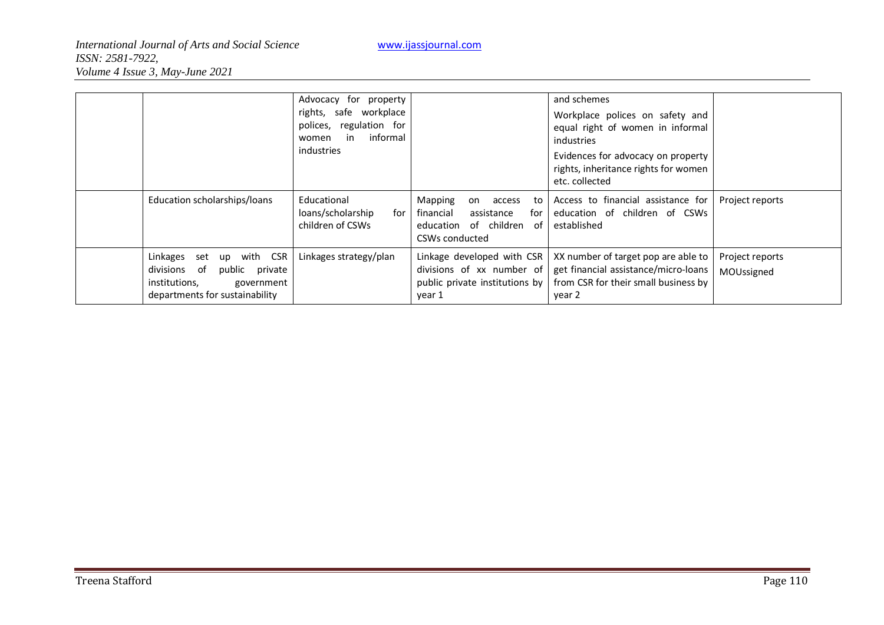|                                                                                                                                            | Advocacy for property<br>rights, safe workplace<br>polices, regulation for<br>informal<br>in<br>women<br><i>industries</i> |                                                                                                                  | and schemes<br>Workplace polices on safety and<br>equal right of women in informal<br>industries                              |                               |
|--------------------------------------------------------------------------------------------------------------------------------------------|----------------------------------------------------------------------------------------------------------------------------|------------------------------------------------------------------------------------------------------------------|-------------------------------------------------------------------------------------------------------------------------------|-------------------------------|
|                                                                                                                                            |                                                                                                                            |                                                                                                                  | Evidences for advocacy on property<br>rights, inheritance rights for women<br>etc. collected                                  |                               |
| Education scholarships/loans                                                                                                               | Educational<br>loans/scholarship<br>for<br>children of CSWs                                                                | Mapping<br>access<br>to<br>on<br>financial<br>assistance<br>tor<br>education of children<br>of<br>CSWs conducted | Access to financial assistance for<br>education of children of CSWs<br>established                                            | Project reports               |
| with CSR<br>Linkages<br>set<br>up<br>public<br>divisions<br>of<br>private<br>institutions,<br>government<br>departments for sustainability | Linkages strategy/plan                                                                                                     | Linkage developed with CSR<br>divisions of xx number of<br>public private institutions by<br>year 1              | XX number of target pop are able to<br>get financial assistance/micro-loans<br>from CSR for their small business by<br>year 2 | Project reports<br>MOUssigned |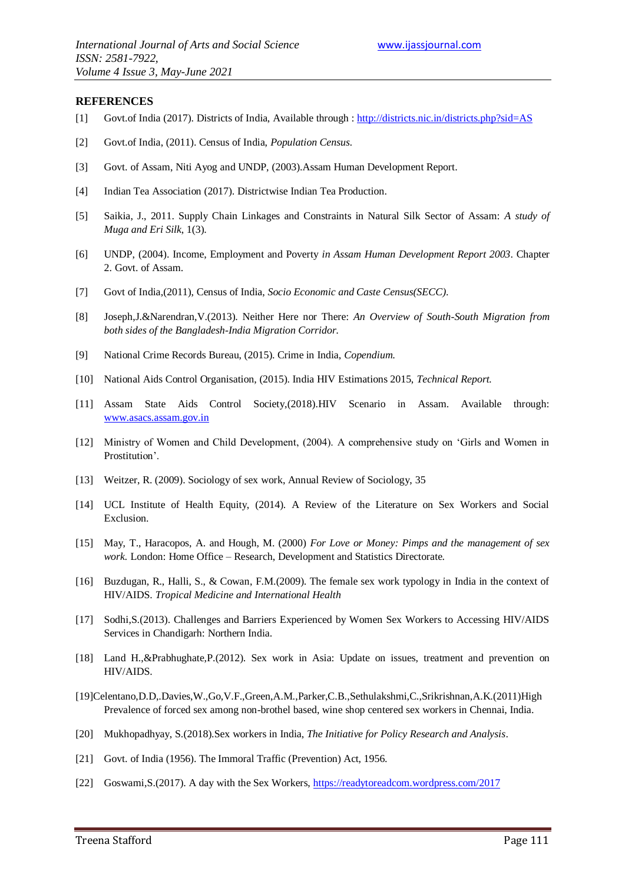#### **REFERENCES**

- [1] Govt.of India (2017). Districts of India, Available through :<http://districts.nic.in/districts.php?sid=AS>
- [2] Govt.of India, (2011). Census of India, *Population Census.*
- [3] Govt. of Assam, Niti Ayog and UNDP, (2003).Assam Human Development Report.
- [4] Indian Tea Association (2017). Districtwise Indian Tea Production.
- [5] Saikia, J., 2011. Supply Chain Linkages and Constraints in Natural Silk Sector of Assam: *A study of Muga and Eri Silk*, 1(3).
- [6] UNDP, (2004). Income, Employment and Poverty *in Assam Human Development Report 2003*. Chapter 2. Govt. of Assam.
- [7] Govt of India,(2011), Census of India, *Socio Economic and Caste Census(SECC)*.
- [8] Joseph,J.&Narendran,V.(2013). Neither Here nor There: *An Overview of South-South Migration from both sides of the Bangladesh-India Migration Corridor.*
- [9] National Crime Records Bureau, (2015). Crime in India, *Copendium*.
- [10] National Aids Control Organisation, (2015). India HIV Estimations 2015, *Technical Report.*
- [11] Assam State Aids Control Society,(2018).HIV Scenario in Assam. Available through: [www.asacs.assam.gov.in](http://www.asacs.assam.gov.in/)
- [12] Ministry of Women and Child Development, (2004). A comprehensive study on "Girls and Women in Prostitution'.
- [13] Weitzer, R. (2009). Sociology of sex work, Annual Review of Sociology, 35
- [14] UCL Institute of Health Equity, (2014). A Review of the Literature on Sex Workers and Social Exclusion.
- [15] May, T., Haracopos, A. and Hough, M. (2000) *For Love or Money: Pimps and the management of sex work.* London: Home Office – Research, Development and Statistics Directorate.
- [16] Buzdugan, R., Halli, S., & Cowan, F.M.(2009). The female sex work typology in India in the context of HIV/AIDS. *Tropical Medicine and International Health*
- [17] Sodhi,S.(2013). Challenges and Barriers Experienced by Women Sex Workers to Accessing HIV/AIDS Services in Chandigarh: Northern India.
- [18] Land H.,&Prabhughate,P.(2012). Sex work in Asia: Update on issues, treatment and prevention on HIV/AIDS.
- [19]Celentano,D.D,.Davies,W.,Go,V.F.,Green,A.M.,Parker,C.B.,Sethulakshmi,C.,Srikrishnan,A.K.(2011)High Prevalence of forced sex among non-brothel based, wine shop centered sex workers in Chennai, India.
- [20] Mukhopadhyay, S.(2018).Sex workers in India, *The Initiative for Policy Research and Analysis*.
- [21] Govt. of India (1956). The Immoral Traffic (Prevention) Act, 1956.
- [22] Goswami,S.(2017). A day with the Sex Workers,<https://readytoreadcom.wordpress.com/2017>